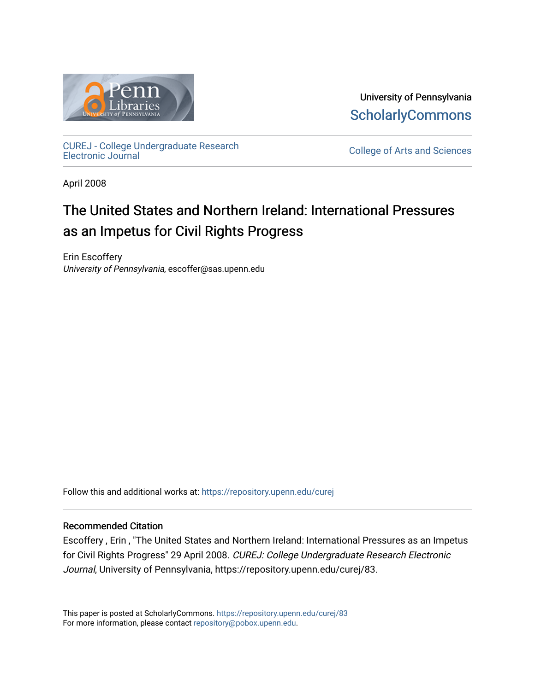

University of Pennsylvania **ScholarlyCommons** 

[CUREJ - College Undergraduate Research](https://repository.upenn.edu/curej) 

College of Arts and Sciences

April 2008

# The United States and Northern Ireland: International Pressures as an Impetus for Civil Rights Progress

Erin Escoffery University of Pennsylvania, escoffer@sas.upenn.edu

Follow this and additional works at: [https://repository.upenn.edu/curej](https://repository.upenn.edu/curej?utm_source=repository.upenn.edu%2Fcurej%2F83&utm_medium=PDF&utm_campaign=PDFCoverPages)

### Recommended Citation

Escoffery , Erin , "The United States and Northern Ireland: International Pressures as an Impetus for Civil Rights Progress" 29 April 2008. CUREJ: College Undergraduate Research Electronic Journal, University of Pennsylvania, https://repository.upenn.edu/curej/83.

This paper is posted at ScholarlyCommons.<https://repository.upenn.edu/curej/83> For more information, please contact [repository@pobox.upenn.edu.](mailto:repository@pobox.upenn.edu)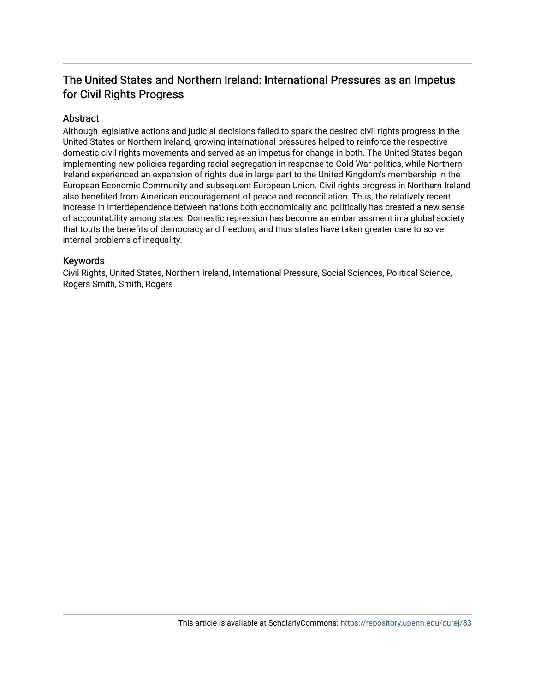# The United States and Northern Ireland: International Pressures as an Impetus for Civil Rights Progress

## Abstract

Although legislative actions and judicial decisions failed to spark the desired civil rights progress in the United States or Northern Ireland, growing international pressures helped to reinforce the respective domestic civil rights movements and served as an impetus for change in both. The United States began implementing new policies regarding racial segregation in response to Cold War politics, while Northern Ireland experienced an expansion of rights due in large part to the United Kingdom's membership in the European Economic Community and subsequent European Union. Civil rights progress in Northern Ireland also benefited from American encouragement of peace and reconciliation. Thus, the relatively recent increase in interdependence between nations both economically and politically has created a new sense of accountability among states. Domestic repression has become an embarrassment in a global society that touts the benefits of democracy and freedom, and thus states have taken greater care to solve internal problems of inequality.

### Keywords

Civil Rights, United States, Northern Ireland, International Pressure, Social Sciences, Political Science, Rogers Smith, Smith, Rogers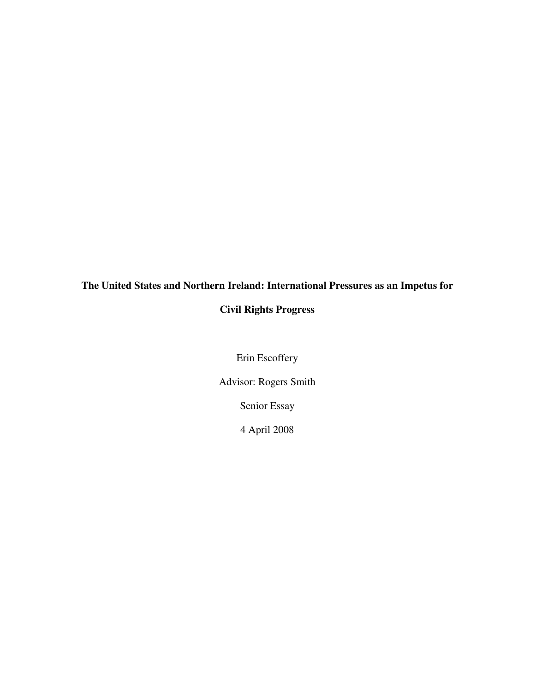# **The United States and Northern Ireland: International Pressures as an Impetus for**

# **Civil Rights Progress**

Erin Escoffery

Advisor: Rogers Smith

Senior Essay

4 April 2008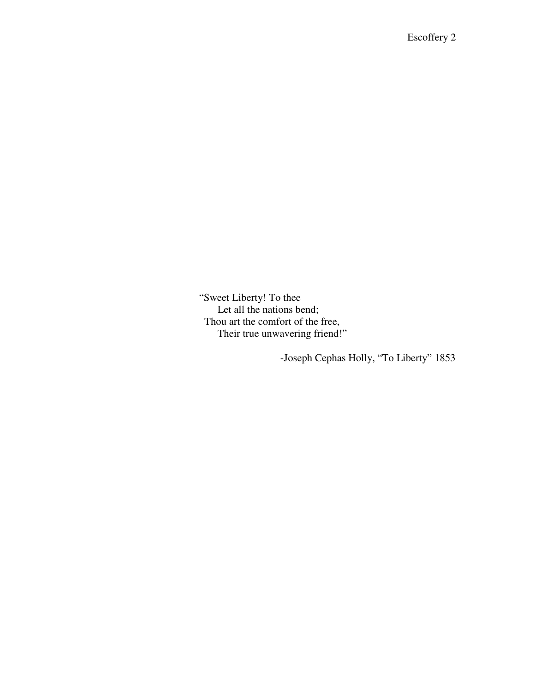"Sweet Liberty! To thee Let all the nations bend; Thou art the comfort of the free, Their true unwavering friend!"

-Joseph Cephas Holly, "To Liberty" 1853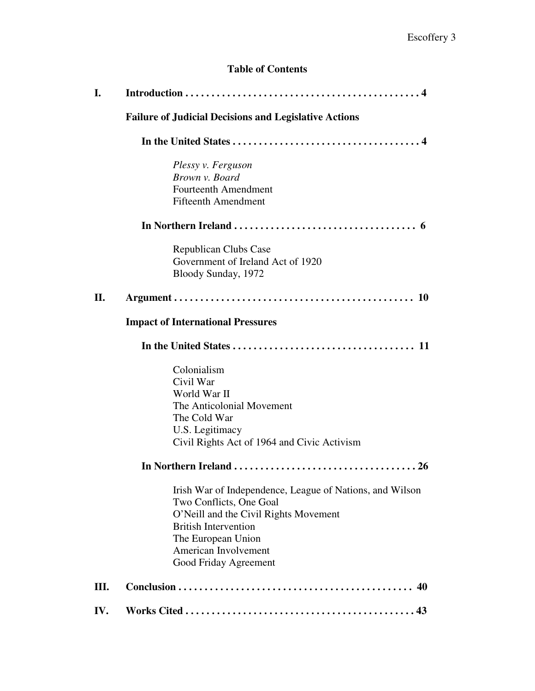# **Table of Contents**

| I.  |                                                                                                                                                                                                                                    |
|-----|------------------------------------------------------------------------------------------------------------------------------------------------------------------------------------------------------------------------------------|
|     | <b>Failure of Judicial Decisions and Legislative Actions</b>                                                                                                                                                                       |
|     |                                                                                                                                                                                                                                    |
|     | Plessy v. Ferguson<br>Brown v. Board<br><b>Fourteenth Amendment</b><br><b>Fifteenth Amendment</b>                                                                                                                                  |
|     |                                                                                                                                                                                                                                    |
|     | <b>Republican Clubs Case</b><br>Government of Ireland Act of 1920<br>Bloody Sunday, 1972                                                                                                                                           |
| П.  |                                                                                                                                                                                                                                    |
|     | <b>Impact of International Pressures</b>                                                                                                                                                                                           |
|     |                                                                                                                                                                                                                                    |
|     | Colonialism<br>Civil War<br>World War II<br>The Anticolonial Movement<br>The Cold War<br>U.S. Legitimacy<br>Civil Rights Act of 1964 and Civic Activism                                                                            |
|     |                                                                                                                                                                                                                                    |
|     | Irish War of Independence, League of Nations, and Wilson<br>Two Conflicts, One Goal<br>O'Neill and the Civil Rights Movement<br><b>British Intervention</b><br>The European Union<br>American Involvement<br>Good Friday Agreement |
| Ш.  |                                                                                                                                                                                                                                    |
| IV. |                                                                                                                                                                                                                                    |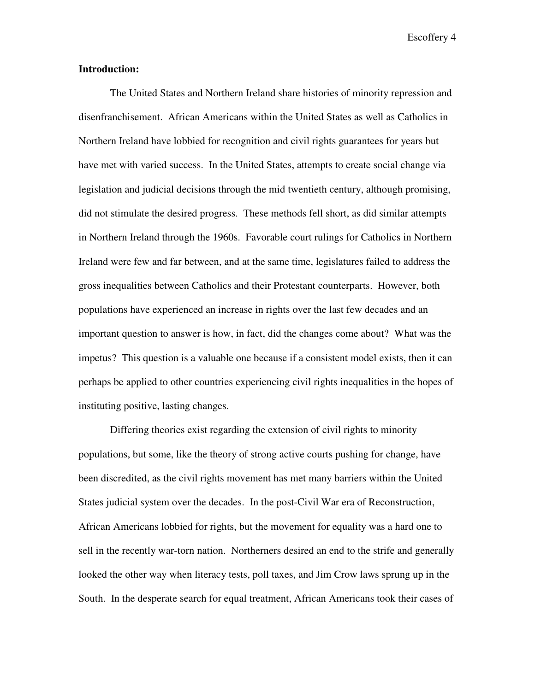#### **Introduction:**

 The United States and Northern Ireland share histories of minority repression and disenfranchisement. African Americans within the United States as well as Catholics in Northern Ireland have lobbied for recognition and civil rights guarantees for years but have met with varied success. In the United States, attempts to create social change via legislation and judicial decisions through the mid twentieth century, although promising, did not stimulate the desired progress. These methods fell short, as did similar attempts in Northern Ireland through the 1960s. Favorable court rulings for Catholics in Northern Ireland were few and far between, and at the same time, legislatures failed to address the gross inequalities between Catholics and their Protestant counterparts. However, both populations have experienced an increase in rights over the last few decades and an important question to answer is how, in fact, did the changes come about? What was the impetus? This question is a valuable one because if a consistent model exists, then it can perhaps be applied to other countries experiencing civil rights inequalities in the hopes of instituting positive, lasting changes.

Differing theories exist regarding the extension of civil rights to minority populations, but some, like the theory of strong active courts pushing for change, have been discredited, as the civil rights movement has met many barriers within the United States judicial system over the decades. In the post-Civil War era of Reconstruction, African Americans lobbied for rights, but the movement for equality was a hard one to sell in the recently war-torn nation. Northerners desired an end to the strife and generally looked the other way when literacy tests, poll taxes, and Jim Crow laws sprung up in the South. In the desperate search for equal treatment, African Americans took their cases of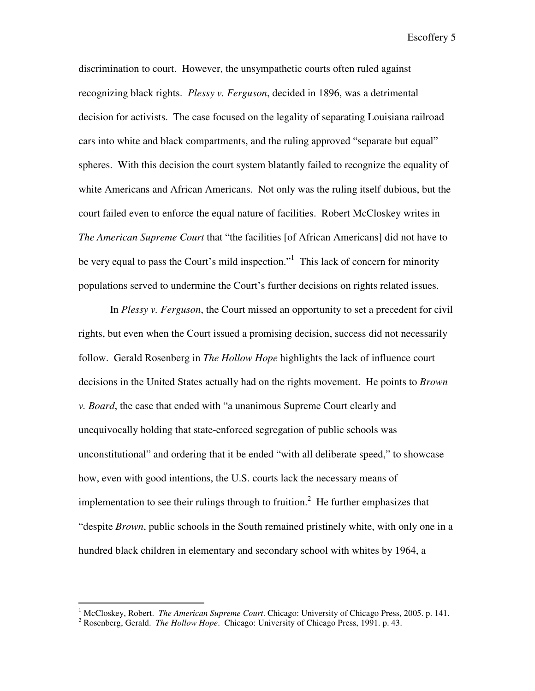discrimination to court. However, the unsympathetic courts often ruled against recognizing black rights. *Plessy v. Ferguson*, decided in 1896, was a detrimental decision for activists. The case focused on the legality of separating Louisiana railroad cars into white and black compartments, and the ruling approved "separate but equal" spheres. With this decision the court system blatantly failed to recognize the equality of white Americans and African Americans. Not only was the ruling itself dubious, but the court failed even to enforce the equal nature of facilities. Robert McCloskey writes in *The American Supreme Court* that "the facilities [of African Americans] did not have to be very equal to pass the Court's mild inspection."<sup>1</sup> This lack of concern for minority populations served to undermine the Court's further decisions on rights related issues.

In *Plessy v. Ferguson*, the Court missed an opportunity to set a precedent for civil rights, but even when the Court issued a promising decision, success did not necessarily follow. Gerald Rosenberg in *The Hollow Hope* highlights the lack of influence court decisions in the United States actually had on the rights movement. He points to *Brown v. Board*, the case that ended with "a unanimous Supreme Court clearly and unequivocally holding that state-enforced segregation of public schools was unconstitutional" and ordering that it be ended "with all deliberate speed," to showcase how, even with good intentions, the U.S. courts lack the necessary means of implementation to see their rulings through to fruition.<sup>2</sup> He further emphasizes that "despite *Brown*, public schools in the South remained pristinely white, with only one in a hundred black children in elementary and secondary school with whites by 1964, a

<sup>&</sup>lt;sup>1</sup> McCloskey, Robert. *The American Supreme Court*. Chicago: University of Chicago Press, 2005. p. 141.

<sup>2</sup> Rosenberg, Gerald. *The Hollow Hope*. Chicago: University of Chicago Press, 1991. p. 43.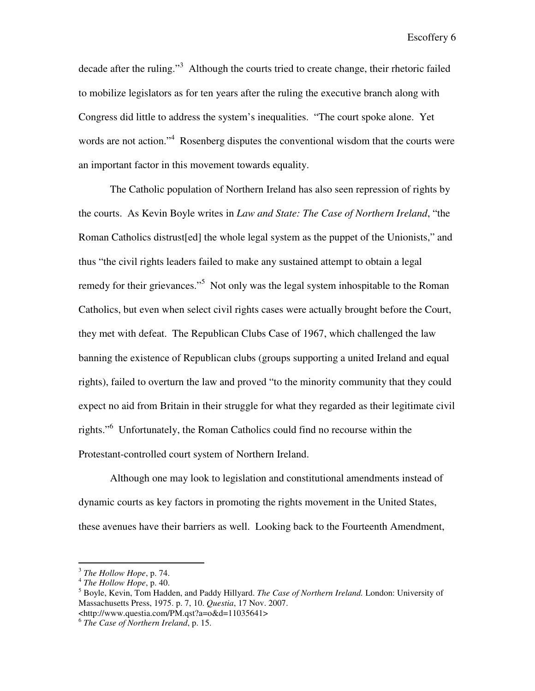decade after the ruling."<sup>3</sup> Although the courts tried to create change, their rhetoric failed to mobilize legislators as for ten years after the ruling the executive branch along with Congress did little to address the system's inequalities. "The court spoke alone. Yet words are not action."<sup>4</sup> Rosenberg disputes the conventional wisdom that the courts were an important factor in this movement towards equality.

 The Catholic population of Northern Ireland has also seen repression of rights by the courts. As Kevin Boyle writes in *Law and State: The Case of Northern Ireland*, "the Roman Catholics distrust[ed] the whole legal system as the puppet of the Unionists," and thus "the civil rights leaders failed to make any sustained attempt to obtain a legal remedy for their grievances."<sup>5</sup> Not only was the legal system inhospitable to the Roman Catholics, but even when select civil rights cases were actually brought before the Court, they met with defeat. The Republican Clubs Case of 1967, which challenged the law banning the existence of Republican clubs (groups supporting a united Ireland and equal rights), failed to overturn the law and proved "to the minority community that they could expect no aid from Britain in their struggle for what they regarded as their legitimate civil rights."<sup>6</sup> Unfortunately, the Roman Catholics could find no recourse within the Protestant-controlled court system of Northern Ireland.

Although one may look to legislation and constitutional amendments instead of dynamic courts as key factors in promoting the rights movement in the United States, these avenues have their barriers as well. Looking back to the Fourteenth Amendment,

<sup>3</sup> *The Hollow Hope*, p. 74.

<sup>4</sup> *The Hollow Hope*, p. 40.

<sup>5</sup> Boyle, Kevin, Tom Hadden, and Paddy Hillyard. *The Case of Northern Ireland.* London: University of Massachusetts Press, 1975. p. 7, 10. *Questia*, 17 Nov. 2007. <http://www.questia.com/PM.qst?a=o&d=11035641>

<sup>6</sup> *The Case of Northern Ireland*, p. 15.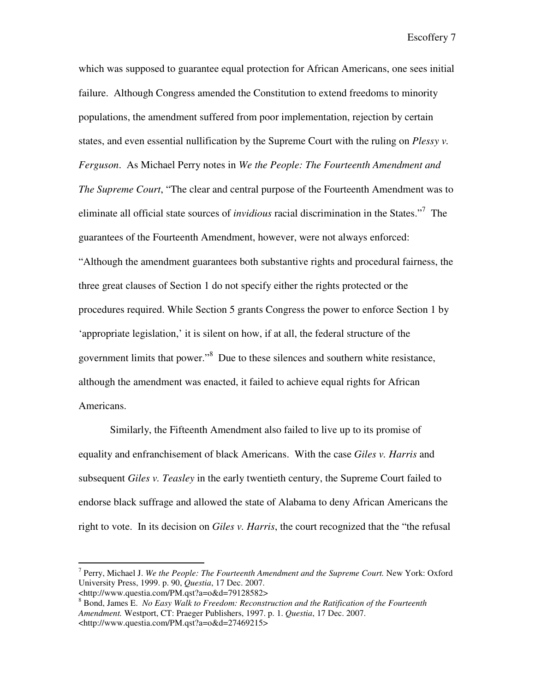which was supposed to guarantee equal protection for African Americans, one sees initial failure. Although Congress amended the Constitution to extend freedoms to minority populations, the amendment suffered from poor implementation, rejection by certain states, and even essential nullification by the Supreme Court with the ruling on *Plessy v. Ferguson*. As Michael Perry notes in *We the People: The Fourteenth Amendment and The Supreme Court*, "The clear and central purpose of the Fourteenth Amendment was to eliminate all official state sources of *invidious* racial discrimination in the States."<sup>7</sup> The guarantees of the Fourteenth Amendment, however, were not always enforced: "Although the amendment guarantees both substantive rights and procedural fairness, the three great clauses of Section 1 do not specify either the rights protected or the procedures required. While Section 5 grants Congress the power to enforce Section 1 by 'appropriate legislation,' it is silent on how, if at all, the federal structure of the government limits that power."<sup>8</sup> Due to these silences and southern white resistance, although the amendment was enacted, it failed to achieve equal rights for African Americans.

Similarly, the Fifteenth Amendment also failed to live up to its promise of equality and enfranchisement of black Americans. With the case *Giles v. Harris* and subsequent *Giles v. Teasley* in the early twentieth century, the Supreme Court failed to endorse black suffrage and allowed the state of Alabama to deny African Americans the right to vote. In its decision on *Giles v. Harris*, the court recognized that the "the refusal

<u>.</u>

<sup>7</sup> Perry, Michael J. *We the People: The Fourteenth Amendment and the Supreme Court.* New York: Oxford University Press, 1999. p. 90, *Questia*, 17 Dec. 2007.

<sup>&</sup>lt;http://www.questia.com/PM.qst?a=o&d=79128582>

<sup>8</sup> Bond, James E. *No Easy Walk to Freedom: Reconstruction and the Ratification of the Fourteenth Amendment.* Westport, CT: Praeger Publishers, 1997. p. 1. *Questia*, 17 Dec. 2007. <http://www.questia.com/PM.qst?a=o&d=27469215>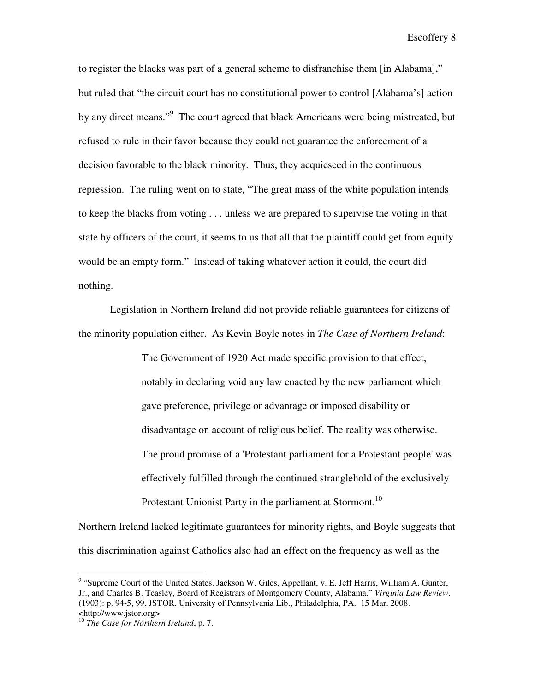to register the blacks was part of a general scheme to disfranchise them [in Alabama]," but ruled that "the circuit court has no constitutional power to control [Alabama's] action by any direct means."<sup>9</sup> The court agreed that black Americans were being mistreated, but refused to rule in their favor because they could not guarantee the enforcement of a decision favorable to the black minority. Thus, they acquiesced in the continuous repression. The ruling went on to state, "The great mass of the white population intends to keep the blacks from voting . . . unless we are prepared to supervise the voting in that state by officers of the court, it seems to us that all that the plaintiff could get from equity would be an empty form." Instead of taking whatever action it could, the court did nothing.

Legislation in Northern Ireland did not provide reliable guarantees for citizens of the minority population either. As Kevin Boyle notes in *The Case of Northern Ireland*:

> The Government of 1920 Act made specific provision to that effect, notably in declaring void any law enacted by the new parliament which gave preference, privilege or advantage or imposed disability or disadvantage on account of religious belief. The reality was otherwise. The proud promise of a 'Protestant parliament for a Protestant people' was effectively fulfilled through the continued stranglehold of the exclusively Protestant Unionist Party in the parliament at Stormont.<sup>10</sup>

Northern Ireland lacked legitimate guarantees for minority rights, and Boyle suggests that this discrimination against Catholics also had an effect on the frequency as well as the

<sup>&</sup>lt;sup>9</sup> "Supreme Court of the United States. Jackson W. Giles, Appellant, v. E. Jeff Harris, William A. Gunter, Jr., and Charles B. Teasley, Board of Registrars of Montgomery County, Alabama." *Virginia Law Review*. (1903): p. 94-5, 99. JSTOR. University of Pennsylvania Lib., Philadelphia, PA. 15 Mar. 2008. <http://www.jstor.org>

<sup>10</sup> *The Case for Northern Ireland*, p. 7.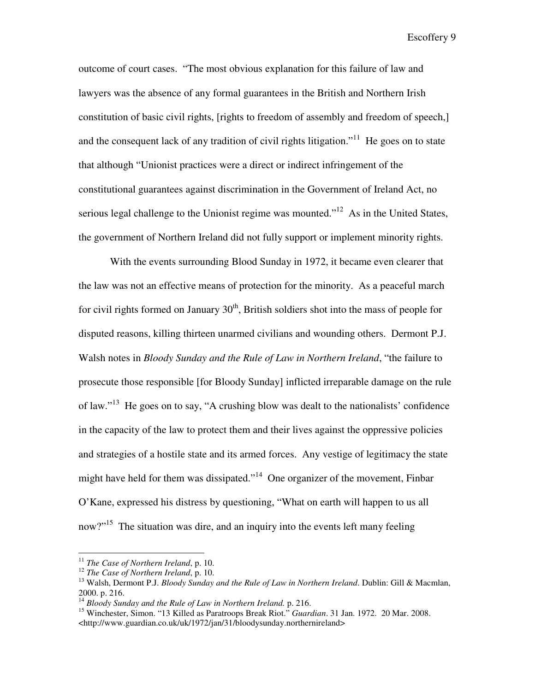outcome of court cases. "The most obvious explanation for this failure of law and lawyers was the absence of any formal guarantees in the British and Northern Irish constitution of basic civil rights, [rights to freedom of assembly and freedom of speech,] and the consequent lack of any tradition of civil rights litigation."<sup>11</sup> He goes on to state that although "Unionist practices were a direct or indirect infringement of the constitutional guarantees against discrimination in the Government of Ireland Act, no serious legal challenge to the Unionist regime was mounted."<sup>12</sup> As in the United States, the government of Northern Ireland did not fully support or implement minority rights.

 With the events surrounding Blood Sunday in 1972, it became even clearer that the law was not an effective means of protection for the minority. As a peaceful march for civil rights formed on January  $30<sup>th</sup>$ , British soldiers shot into the mass of people for disputed reasons, killing thirteen unarmed civilians and wounding others. Dermont P.J. Walsh notes in *Bloody Sunday and the Rule of Law in Northern Ireland*, "the failure to prosecute those responsible [for Bloody Sunday] inflicted irreparable damage on the rule of law."<sup>13</sup> He goes on to say, "A crushing blow was dealt to the nationalists' confidence in the capacity of the law to protect them and their lives against the oppressive policies and strategies of a hostile state and its armed forces. Any vestige of legitimacy the state might have held for them was dissipated."<sup>14</sup> One organizer of the movement, Finbar O'Kane, expressed his distress by questioning, "What on earth will happen to us all now?"<sup>15</sup> The situation was dire, and an inquiry into the events left many feeling

<sup>11</sup> *The Case of Northern Ireland*, p. 10.

<sup>12</sup> *The Case of Northern Ireland*, p. 10.

<sup>&</sup>lt;sup>13</sup> Walsh, Dermont P.J. *Bloody Sunday and the Rule of Law in Northern Ireland*. Dublin: Gill & Macmlan, 2000. p. 216.

<sup>14</sup> *Bloody Sunday and the Rule of Law in Northern Ireland.* p. 216.

<sup>15</sup> Winchester, Simon. "13 Killed as Paratroops Break Riot." *Guardian*. 31 Jan. 1972. 20 Mar. 2008. <http://www.guardian.co.uk/uk/1972/jan/31/bloodysunday.northernireland>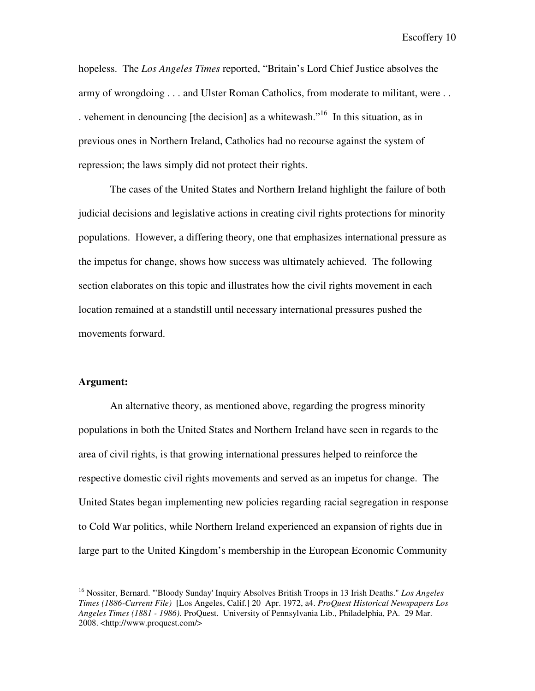hopeless. The *Los Angeles Times* reported, "Britain's Lord Chief Justice absolves the army of wrongdoing . . . and Ulster Roman Catholics, from moderate to militant, were . . . vehement in denouncing [the decision] as a whitewash.<sup> $16$ </sup> In this situation, as in previous ones in Northern Ireland, Catholics had no recourse against the system of repression; the laws simply did not protect their rights.

 The cases of the United States and Northern Ireland highlight the failure of both judicial decisions and legislative actions in creating civil rights protections for minority populations. However, a differing theory, one that emphasizes international pressure as the impetus for change, shows how success was ultimately achieved. The following section elaborates on this topic and illustrates how the civil rights movement in each location remained at a standstill until necessary international pressures pushed the movements forward.

#### **Argument:**

 $\overline{a}$ 

An alternative theory, as mentioned above, regarding the progress minority populations in both the United States and Northern Ireland have seen in regards to the area of civil rights, is that growing international pressures helped to reinforce the respective domestic civil rights movements and served as an impetus for change. The United States began implementing new policies regarding racial segregation in response to Cold War politics, while Northern Ireland experienced an expansion of rights due in large part to the United Kingdom's membership in the European Economic Community

<sup>16</sup> Nossiter, Bernard. "'Bloody Sunday' Inquiry Absolves British Troops in 13 Irish Deaths." *Los Angeles Times (1886-Current File)* [Los Angeles, Calif.] 20 Apr. 1972, a4. *ProQuest Historical Newspapers Los Angeles Times (1881 - 1986)*. ProQuest. University of Pennsylvania Lib., Philadelphia, PA. 29 Mar. 2008. <http://www.proquest.com/>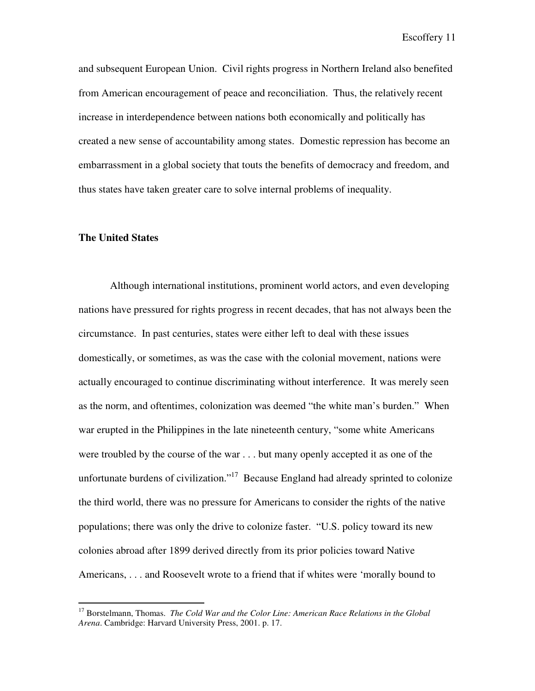and subsequent European Union. Civil rights progress in Northern Ireland also benefited from American encouragement of peace and reconciliation. Thus, the relatively recent increase in interdependence between nations both economically and politically has created a new sense of accountability among states. Domestic repression has become an embarrassment in a global society that touts the benefits of democracy and freedom, and thus states have taken greater care to solve internal problems of inequality.

#### **The United States**

 $\overline{a}$ 

Although international institutions, prominent world actors, and even developing nations have pressured for rights progress in recent decades, that has not always been the circumstance. In past centuries, states were either left to deal with these issues domestically, or sometimes, as was the case with the colonial movement, nations were actually encouraged to continue discriminating without interference. It was merely seen as the norm, and oftentimes, colonization was deemed "the white man's burden." When war erupted in the Philippines in the late nineteenth century, "some white Americans were troubled by the course of the war . . . but many openly accepted it as one of the unfortunate burdens of civilization."<sup>17</sup> Because England had already sprinted to colonize the third world, there was no pressure for Americans to consider the rights of the native populations; there was only the drive to colonize faster. "U.S. policy toward its new colonies abroad after 1899 derived directly from its prior policies toward Native Americans, . . . and Roosevelt wrote to a friend that if whites were 'morally bound to

<sup>17</sup> Borstelmann, Thomas. *The Cold War and the Color Line: American Race Relations in the Global Arena*. Cambridge: Harvard University Press, 2001. p. 17.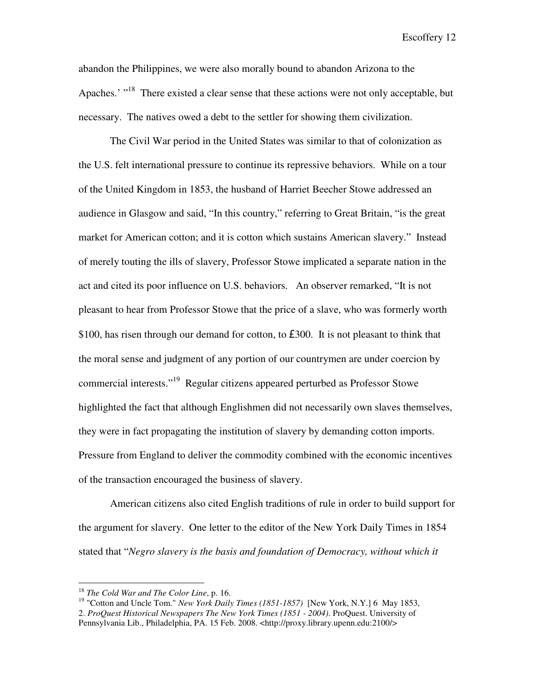abandon the Philippines, we were also morally bound to abandon Arizona to the Apaches.' "<sup>18</sup> There existed a clear sense that these actions were not only acceptable, but necessary. The natives owed a debt to the settler for showing them civilization.

The Civil War period in the United States was similar to that of colonization as the U.S. felt international pressure to continue its repressive behaviors. While on a tour of the United Kingdom in 1853, the husband of Harriet Beecher Stowe addressed an audience in Glasgow and said, "In this country," referring to Great Britain, "is the great market for American cotton; and it is cotton which sustains American slavery." Instead of merely touting the ills of slavery, Professor Stowe implicated a separate nation in the act and cited its poor influence on U.S. behaviors. An observer remarked, "It is not pleasant to hear from Professor Stowe that the price of a slave, who was formerly worth \$100, has risen through our demand for cotton, to £300. It is not pleasant to think that the moral sense and judgment of any portion of our countrymen are under coercion by commercial interests."<sup>19</sup> Regular citizens appeared perturbed as Professor Stowe highlighted the fact that although Englishmen did not necessarily own slaves themselves, they were in fact propagating the institution of slavery by demanding cotton imports. Pressure from England to deliver the commodity combined with the economic incentives of the transaction encouraged the business of slavery.

 American citizens also cited English traditions of rule in order to build support for the argument for slavery. One letter to the editor of the New York Daily Times in 1854 stated that "*Negro slavery is the basis and foundation of Democracy, without which it* 

1

<sup>18</sup> *The Cold War and The Color Line*, p. 16.

<sup>&</sup>lt;sup>19</sup> "Cotton and Uncle Tom." *New York Daily Times (1851-1857)* [New York, N.Y.] 6 May 1853, 2. *ProQuest Historical Newspapers The New York Times (1851 - 2004)*. ProQuest. University of Pennsylvania Lib., Philadelphia, PA. 15 Feb. 2008. <http://proxy.library.upenn.edu:2100/>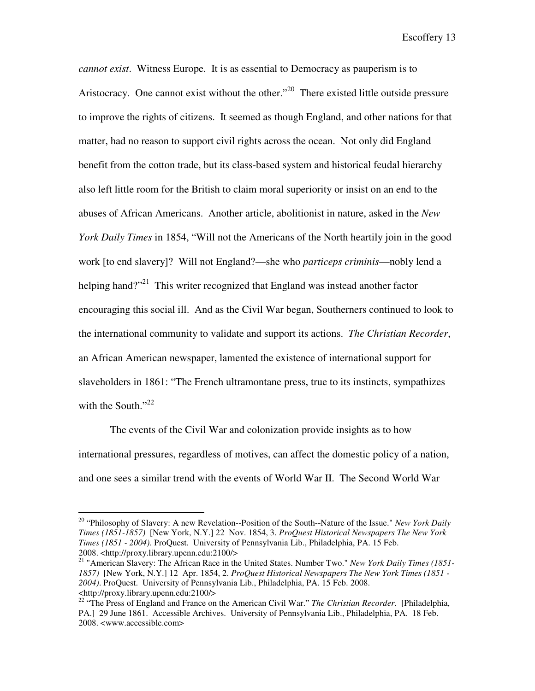*cannot exist*. Witness Europe. It is as essential to Democracy as pauperism is to Aristocracy. One cannot exist without the other."<sup>20</sup> There existed little outside pressure to improve the rights of citizens. It seemed as though England, and other nations for that matter, had no reason to support civil rights across the ocean. Not only did England benefit from the cotton trade, but its class-based system and historical feudal hierarchy also left little room for the British to claim moral superiority or insist on an end to the abuses of African Americans. Another article, abolitionist in nature, asked in the *New York Daily Times* in 1854, "Will not the Americans of the North heartily join in the good work [to end slavery]? Will not England?—she who *particeps criminis*—nobly lend a helping hand?"<sup>21</sup> This writer recognized that England was instead another factor encouraging this social ill. And as the Civil War began, Southerners continued to look to the international community to validate and support its actions. *The Christian Recorder*, an African American newspaper, lamented the existence of international support for slaveholders in 1861: "The French ultramontane press, true to its instincts, sympathizes with the South." $^{22}$ 

The events of the Civil War and colonization provide insights as to how international pressures, regardless of motives, can affect the domestic policy of a nation, and one sees a similar trend with the events of World War II. The Second World War

<u>.</u>

<sup>20</sup> "Philosophy of Slavery: A new Revelation--Position of the South--Nature of the Issue." *New York Daily Times (1851-1857)* [New York, N.Y.] 22 Nov. 1854, 3. *ProQuest Historical Newspapers The New York Times (1851 - 2004)*. ProQuest. University of Pennsylvania Lib., Philadelphia, PA. 15 Feb. 2008. <http://proxy.library.upenn.edu:2100/>

<sup>21</sup> "American Slavery: The African Race in the United States. Number Two." *New York Daily Times (1851- 1857)* [New York, N.Y.] 12 Apr. 1854, 2. *ProQuest Historical Newspapers The New York Times (1851 - 2004)*. ProQuest. University of Pennsylvania Lib., Philadelphia, PA. 15 Feb. 2008. <http://proxy.library.upenn.edu:2100/>

<sup>22</sup> "The Press of England and France on the American Civil War." *The Christian Recorder*. [Philadelphia, PA.] 29 June 1861. Accessible Archives. University of Pennsylvania Lib., Philadelphia, PA. 18 Feb. 2008. <www.accessible.com>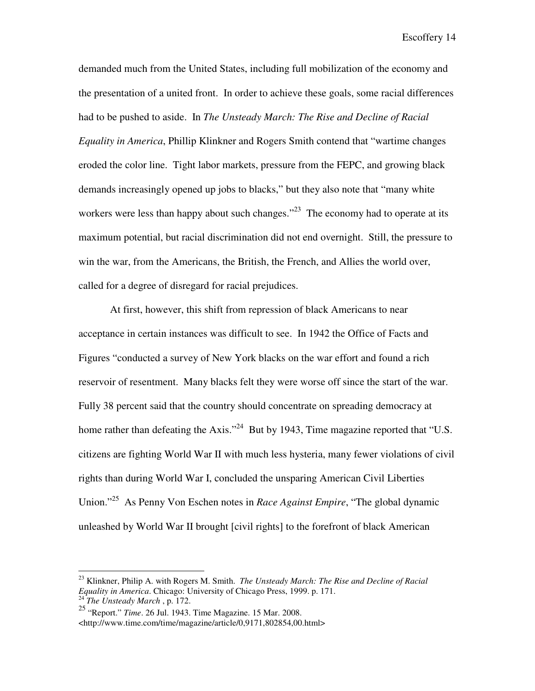demanded much from the United States, including full mobilization of the economy and the presentation of a united front. In order to achieve these goals, some racial differences had to be pushed to aside. In *The Unsteady March: The Rise and Decline of Racial Equality in America*, Phillip Klinkner and Rogers Smith contend that "wartime changes eroded the color line. Tight labor markets, pressure from the FEPC, and growing black demands increasingly opened up jobs to blacks," but they also note that "many white workers were less than happy about such changes. $^{22}$  The economy had to operate at its maximum potential, but racial discrimination did not end overnight. Still, the pressure to win the war, from the Americans, the British, the French, and Allies the world over, called for a degree of disregard for racial prejudices.

At first, however, this shift from repression of black Americans to near acceptance in certain instances was difficult to see. In 1942 the Office of Facts and Figures "conducted a survey of New York blacks on the war effort and found a rich reservoir of resentment. Many blacks felt they were worse off since the start of the war. Fully 38 percent said that the country should concentrate on spreading democracy at home rather than defeating the Axis."<sup>24</sup> But by 1943, Time magazine reported that "U.S. citizens are fighting World War II with much less hysteria, many fewer violations of civil rights than during World War I, concluded the unsparing American Civil Liberties Union."<sup>25</sup> As Penny Von Eschen notes in *Race Against Empire*, "The global dynamic unleashed by World War II brought [civil rights] to the forefront of black American

1

<sup>23</sup> Klinkner, Philip A. with Rogers M. Smith. *The Unsteady March: The Rise and Decline of Racial Equality in America*. Chicago: University of Chicago Press, 1999. p. 171. <sup>24</sup> *The Unsteady March* , p. 172.

<sup>25</sup> "Report." *Time*. 26 Jul. 1943. Time Magazine. 15 Mar. 2008. <http://www.time.com/time/magazine/article/0,9171,802854,00.html>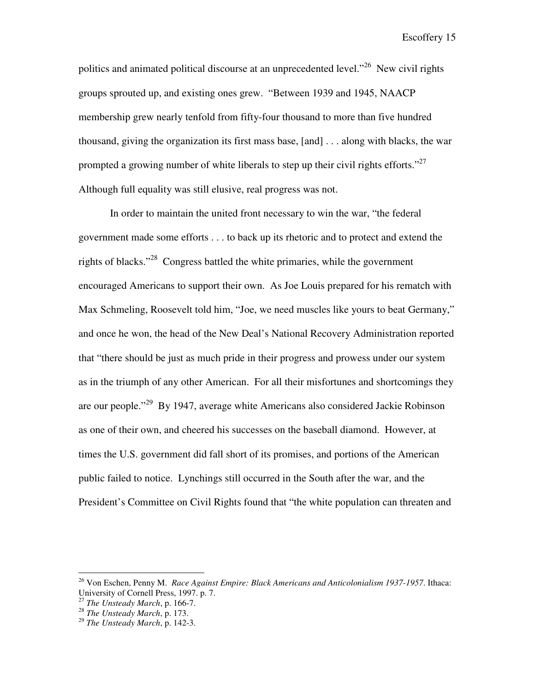politics and animated political discourse at an unprecedented level.<sup> $26$ </sup> New civil rights groups sprouted up, and existing ones grew. "Between 1939 and 1945, NAACP membership grew nearly tenfold from fifty-four thousand to more than five hundred thousand, giving the organization its first mass base, [and] . . . along with blacks, the war prompted a growing number of white liberals to step up their civil rights efforts."<sup>27</sup> Although full equality was still elusive, real progress was not.

 In order to maintain the united front necessary to win the war, "the federal government made some efforts . . . to back up its rhetoric and to protect and extend the rights of blacks."<sup>28</sup> Congress battled the white primaries, while the government encouraged Americans to support their own. As Joe Louis prepared for his rematch with Max Schmeling, Roosevelt told him, "Joe, we need muscles like yours to beat Germany," and once he won, the head of the New Deal's National Recovery Administration reported that "there should be just as much pride in their progress and prowess under our system as in the triumph of any other American. For all their misfortunes and shortcomings they are our people."<sup>29</sup> By 1947, average white Americans also considered Jackie Robinson as one of their own, and cheered his successes on the baseball diamond. However, at times the U.S. government did fall short of its promises, and portions of the American public failed to notice. Lynchings still occurred in the South after the war, and the President's Committee on Civil Rights found that "the white population can threaten and

<sup>26</sup> Von Eschen, Penny M. *Race Against Empire: Black Americans and Anticolonialism 1937-1957*. Ithaca: University of Cornell Press, 1997. p. 7.

<sup>27</sup> *The Unsteady March*, p. 166-7.

<sup>28</sup> *The Unsteady March*, p. 173.

<sup>29</sup> *The Unsteady March*, p. 142-3.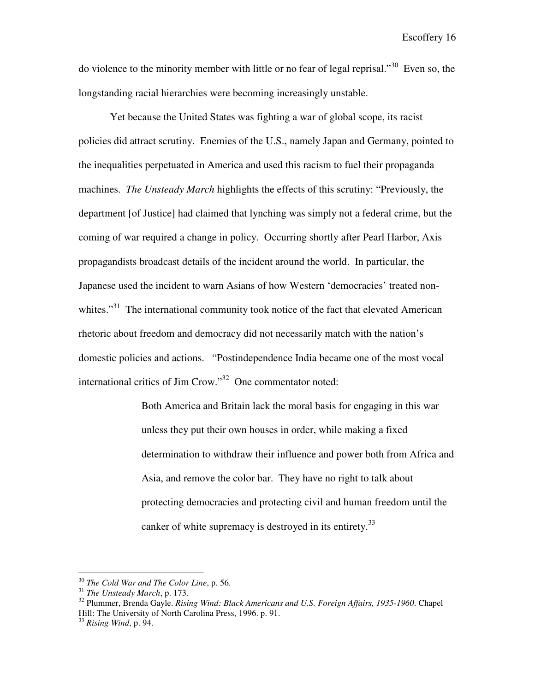do violence to the minority member with little or no fear of legal reprisal."<sup>30</sup> Even so, the longstanding racial hierarchies were becoming increasingly unstable.

Yet because the United States was fighting a war of global scope, its racist policies did attract scrutiny. Enemies of the U.S., namely Japan and Germany, pointed to the inequalities perpetuated in America and used this racism to fuel their propaganda machines. *The Unsteady March* highlights the effects of this scrutiny: "Previously, the department [of Justice] had claimed that lynching was simply not a federal crime, but the coming of war required a change in policy. Occurring shortly after Pearl Harbor, Axis propagandists broadcast details of the incident around the world. In particular, the Japanese used the incident to warn Asians of how Western 'democracies' treated nonwhites."<sup>31</sup> The international community took notice of the fact that elevated American rhetoric about freedom and democracy did not necessarily match with the nation's domestic policies and actions. "Postindependence India became one of the most vocal international critics of Jim Crow."<sup>32</sup> One commentator noted:

> Both America and Britain lack the moral basis for engaging in this war unless they put their own houses in order, while making a fixed determination to withdraw their influence and power both from Africa and Asia, and remove the color bar. They have no right to talk about protecting democracies and protecting civil and human freedom until the canker of white supremacy is destroyed in its entirety.<sup>33</sup>

<u>.</u>

<sup>30</sup> *The Cold War and The Color Line*, p. 56.

<sup>31</sup> *The Unsteady March*, p. 173.

<sup>32</sup> Plummer, Brenda Gayle. *Rising Wind: Black Americans and U.S. Foreign Affairs, 1935-1960*. Chapel Hill: The University of North Carolina Press, 1996. p. 91.

<sup>33</sup> *Rising Wind*, p. 94.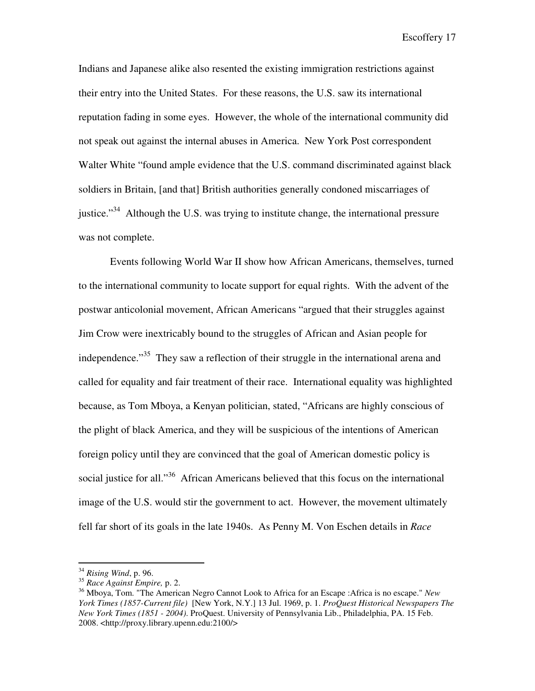Indians and Japanese alike also resented the existing immigration restrictions against their entry into the United States. For these reasons, the U.S. saw its international reputation fading in some eyes. However, the whole of the international community did not speak out against the internal abuses in America. New York Post correspondent Walter White "found ample evidence that the U.S. command discriminated against black soldiers in Britain, [and that] British authorities generally condoned miscarriages of justice."<sup>34</sup> Although the U.S. was trying to institute change, the international pressure was not complete.

 Events following World War II show how African Americans, themselves, turned to the international community to locate support for equal rights. With the advent of the postwar anticolonial movement, African Americans "argued that their struggles against Jim Crow were inextricably bound to the struggles of African and Asian people for independence."<sup>35</sup> They saw a reflection of their struggle in the international arena and called for equality and fair treatment of their race. International equality was highlighted because, as Tom Mboya, a Kenyan politician, stated, "Africans are highly conscious of the plight of black America, and they will be suspicious of the intentions of American foreign policy until they are convinced that the goal of American domestic policy is social justice for all."<sup>36</sup> African Americans believed that this focus on the international image of the U.S. would stir the government to act. However, the movement ultimately fell far short of its goals in the late 1940s. As Penny M. Von Eschen details in *Race* 

<sup>34</sup> *Rising Wind*, p. 96.

<sup>35</sup> *Race Against Empire,* p. 2.

<sup>36</sup> Mboya, Tom. "The American Negro Cannot Look to Africa for an Escape :Africa is no escape." *New York Times (1857-Current file)* [New York, N.Y.] 13 Jul. 1969, p. 1. *ProQuest Historical Newspapers The New York Times (1851 - 2004)*. ProQuest. University of Pennsylvania Lib., Philadelphia, PA. 15 Feb. 2008. <http://proxy.library.upenn.edu:2100/>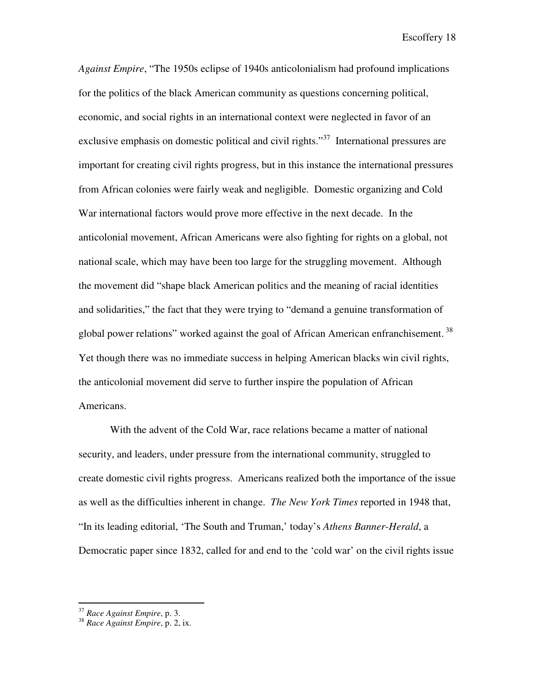*Against Empire*, "The 1950s eclipse of 1940s anticolonialism had profound implications for the politics of the black American community as questions concerning political, economic, and social rights in an international context were neglected in favor of an exclusive emphasis on domestic political and civil rights."<sup>37</sup> International pressures are important for creating civil rights progress, but in this instance the international pressures from African colonies were fairly weak and negligible. Domestic organizing and Cold War international factors would prove more effective in the next decade. In the anticolonial movement, African Americans were also fighting for rights on a global, not national scale, which may have been too large for the struggling movement. Although the movement did "shape black American politics and the meaning of racial identities and solidarities," the fact that they were trying to "demand a genuine transformation of global power relations" worked against the goal of African American enfranchisement.<sup>38</sup> Yet though there was no immediate success in helping American blacks win civil rights, the anticolonial movement did serve to further inspire the population of African Americans.

With the advent of the Cold War, race relations became a matter of national security, and leaders, under pressure from the international community, struggled to create domestic civil rights progress. Americans realized both the importance of the issue as well as the difficulties inherent in change. *The New York Times* reported in 1948 that, "In its leading editorial, 'The South and Truman,' today's *Athens Banner-Herald*, a Democratic paper since 1832, called for and end to the 'cold war' on the civil rights issue

1

<sup>37</sup> *Race Against Empire*, p. 3.

<sup>38</sup> *Race Against Empire*, p. 2, ix.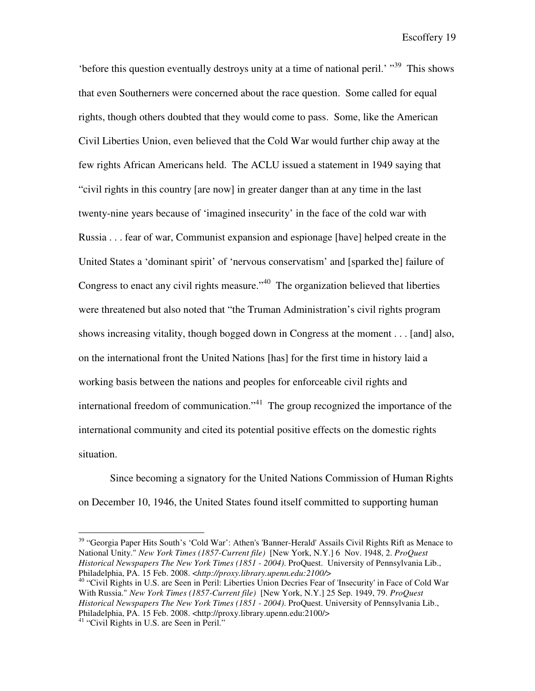'before this question eventually destroys unity at a time of national peril.' "<sup>39</sup> This shows that even Southerners were concerned about the race question. Some called for equal rights, though others doubted that they would come to pass. Some, like the American Civil Liberties Union, even believed that the Cold War would further chip away at the few rights African Americans held. The ACLU issued a statement in 1949 saying that "civil rights in this country [are now] in greater danger than at any time in the last twenty-nine years because of 'imagined insecurity' in the face of the cold war with Russia . . . fear of war, Communist expansion and espionage [have] helped create in the United States a 'dominant spirit' of 'nervous conservatism' and [sparked the] failure of Congress to enact any civil rights measure."<sup>40</sup> The organization believed that liberties were threatened but also noted that "the Truman Administration's civil rights program shows increasing vitality, though bogged down in Congress at the moment . . . [and] also, on the international front the United Nations [has] for the first time in history laid a working basis between the nations and peoples for enforceable civil rights and international freedom of communication."<sup>41</sup> The group recognized the importance of the international community and cited its potential positive effects on the domestic rights situation.

Since becoming a signatory for the United Nations Commission of Human Rights on December 10, 1946, the United States found itself committed to supporting human

<sup>39</sup> "Georgia Paper Hits South's 'Cold War': Athen's 'Banner-Herald' Assails Civil Rights Rift as Menace to National Unity." *New York Times (1857-Current file)* [New York, N.Y.] 6 Nov. 1948, 2. *ProQuest Historical Newspapers The New York Times (1851 - 2004)*. ProQuest. University of Pennsylvania Lib., Philadelphia, PA. 15 Feb. 2008. <*http://proxy.library.upenn.edu:2100/*>

<sup>40</sup> "Civil Rights in U.S. are Seen in Peril: Liberties Union Decries Fear of 'Insecurity' in Face of Cold War With Russia." *New York Times (1857-Current file)* [New York, N.Y.] 25 Sep. 1949, 79. *ProQuest Historical Newspapers The New York Times (1851 - 2004)*. ProQuest. University of Pennsylvania Lib., Philadelphia, PA. 15 Feb. 2008. <http://proxy.library.upenn.edu:2100/>

<sup>&</sup>lt;sup>41</sup> "Civil Rights in U.S. are Seen in Peril."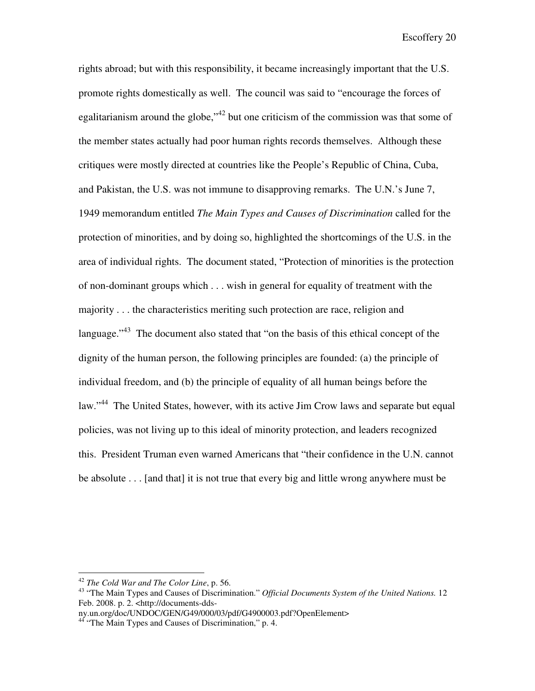rights abroad; but with this responsibility, it became increasingly important that the U.S. promote rights domestically as well. The council was said to "encourage the forces of egalitarianism around the globe,<sup> $142$ </sup> but one criticism of the commission was that some of the member states actually had poor human rights records themselves. Although these critiques were mostly directed at countries like the People's Republic of China, Cuba, and Pakistan, the U.S. was not immune to disapproving remarks. The U.N.'s June 7, 1949 memorandum entitled *The Main Types and Causes of Discrimination* called for the protection of minorities, and by doing so, highlighted the shortcomings of the U.S. in the area of individual rights. The document stated, "Protection of minorities is the protection of non-dominant groups which . . . wish in general for equality of treatment with the majority . . . the characteristics meriting such protection are race, religion and language."<sup>43</sup> The document also stated that "on the basis of this ethical concept of the dignity of the human person, the following principles are founded: (a) the principle of individual freedom, and (b) the principle of equality of all human beings before the law."<sup>44</sup> The United States, however, with its active Jim Crow laws and separate but equal policies, was not living up to this ideal of minority protection, and leaders recognized this. President Truman even warned Americans that "their confidence in the U.N. cannot be absolute . . . [and that] it is not true that every big and little wrong anywhere must be

<sup>42</sup> *The Cold War and The Color Line*, p. 56.

<sup>43</sup> "The Main Types and Causes of Discrimination." *Official Documents System of the United Nations.* 12 Feb. 2008. p. 2. <http://documents-dds-

ny.un.org/doc/UNDOC/GEN/G49/000/03/pdf/G4900003.pdf?OpenElement>

<sup>&</sup>lt;sup>44</sup> "The Main Types and Causes of Discrimination," p. 4.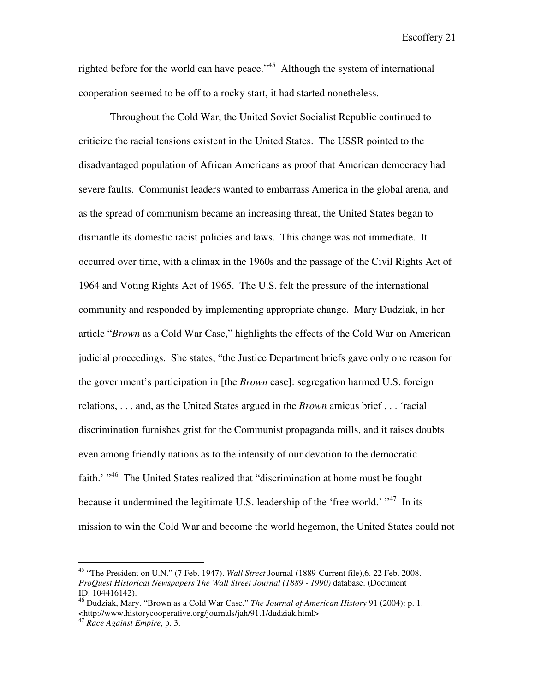righted before for the world can have peace."<sup>45</sup> Although the system of international cooperation seemed to be off to a rocky start, it had started nonetheless.

Throughout the Cold War, the United Soviet Socialist Republic continued to criticize the racial tensions existent in the United States. The USSR pointed to the disadvantaged population of African Americans as proof that American democracy had severe faults. Communist leaders wanted to embarrass America in the global arena, and as the spread of communism became an increasing threat, the United States began to dismantle its domestic racist policies and laws. This change was not immediate. It occurred over time, with a climax in the 1960s and the passage of the Civil Rights Act of 1964 and Voting Rights Act of 1965. The U.S. felt the pressure of the international community and responded by implementing appropriate change. Mary Dudziak, in her article "*Brown* as a Cold War Case," highlights the effects of the Cold War on American judicial proceedings. She states, "the Justice Department briefs gave only one reason for the government's participation in [the *Brown* case]: segregation harmed U.S. foreign relations, . . . and, as the United States argued in the *Brown* amicus brief . . . 'racial discrimination furnishes grist for the Communist propaganda mills, and it raises doubts even among friendly nations as to the intensity of our devotion to the democratic faith.' "<sup>46</sup> The United States realized that "discrimination at home must be fought because it undermined the legitimate U.S. leadership of the 'free world.' "<sup>47</sup> In its mission to win the Cold War and become the world hegemon, the United States could not

<sup>45</sup> "The President on U.N." (7 Feb. 1947). *Wall Street* Journal (1889-Current file),6. 22 Feb. 2008. *ProQuest Historical Newspapers The Wall Street Journal (1889 - 1990)* database. (Document ID: 104416142).

<sup>46</sup> Dudziak, Mary. "Brown as a Cold War Case." *The Journal of American History* 91 (2004): p. 1. <http://www.historycooperative.org/journals/jah/91.1/dudziak.html>

<sup>47</sup> *Race Against Empire*, p. 3.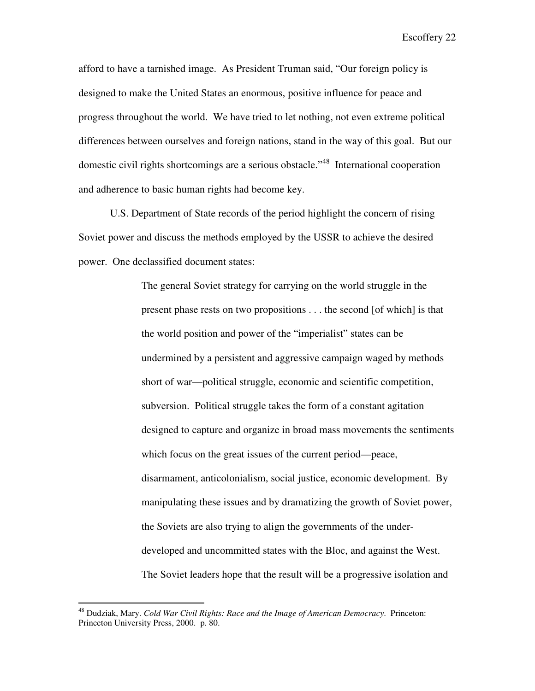afford to have a tarnished image. As President Truman said, "Our foreign policy is designed to make the United States an enormous, positive influence for peace and progress throughout the world. We have tried to let nothing, not even extreme political differences between ourselves and foreign nations, stand in the way of this goal. But our domestic civil rights shortcomings are a serious obstacle.<sup>48</sup> International cooperation and adherence to basic human rights had become key.

U.S. Department of State records of the period highlight the concern of rising Soviet power and discuss the methods employed by the USSR to achieve the desired power. One declassified document states:

> The general Soviet strategy for carrying on the world struggle in the present phase rests on two propositions . . . the second [of which] is that the world position and power of the "imperialist" states can be undermined by a persistent and aggressive campaign waged by methods short of war—political struggle, economic and scientific competition, subversion. Political struggle takes the form of a constant agitation designed to capture and organize in broad mass movements the sentiments which focus on the great issues of the current period—peace, disarmament, anticolonialism, social justice, economic development. By manipulating these issues and by dramatizing the growth of Soviet power, the Soviets are also trying to align the governments of the underdeveloped and uncommitted states with the Bloc, and against the West. The Soviet leaders hope that the result will be a progressive isolation and

<sup>48</sup> Dudziak, Mary. *Cold War Civil Rights: Race and the Image of American Democracy*. Princeton: Princeton University Press, 2000. p. 80.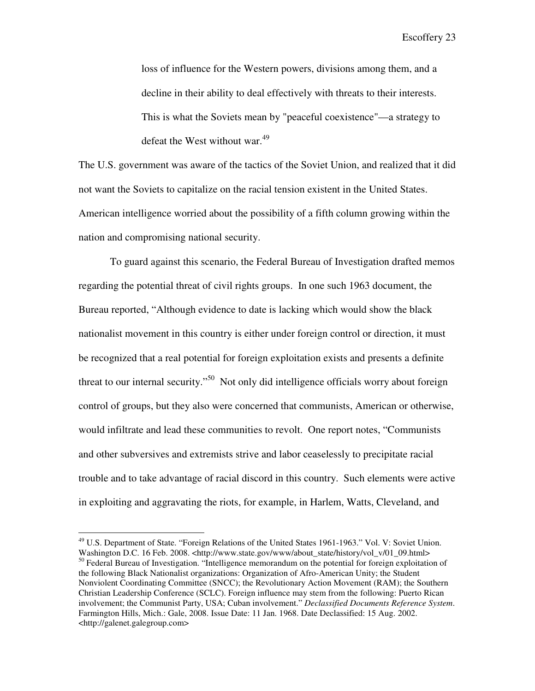loss of influence for the Western powers, divisions among them, and a decline in their ability to deal effectively with threats to their interests. This is what the Soviets mean by "peaceful coexistence"—a strategy to defeat the West without war.<sup>49</sup>

The U.S. government was aware of the tactics of the Soviet Union, and realized that it did not want the Soviets to capitalize on the racial tension existent in the United States. American intelligence worried about the possibility of a fifth column growing within the nation and compromising national security.

 To guard against this scenario, the Federal Bureau of Investigation drafted memos regarding the potential threat of civil rights groups. In one such 1963 document, the Bureau reported, "Although evidence to date is lacking which would show the black nationalist movement in this country is either under foreign control or direction, it must be recognized that a real potential for foreign exploitation exists and presents a definite threat to our internal security."<sup>50</sup> Not only did intelligence officials worry about foreign control of groups, but they also were concerned that communists, American or otherwise, would infiltrate and lead these communities to revolt. One report notes, "Communists and other subversives and extremists strive and labor ceaselessly to precipitate racial trouble and to take advantage of racial discord in this country. Such elements were active in exploiting and aggravating the riots, for example, in Harlem, Watts, Cleveland, and

1

<sup>&</sup>lt;sup>49</sup> U.S. Department of State. "Foreign Relations of the United States 1961-1963." Vol. V: Soviet Union. Washington D.C. 16 Feb. 2008. <http://www.state.gov/www/about\_state/history/vol\_v/01\_09.html>  $50$  Federal Bureau of Investigation. "Intelligence memorandum on the potential for foreign exploitation of the following Black Nationalist organizations: Organization of Afro-American Unity; the Student Nonviolent Coordinating Committee (SNCC); the Revolutionary Action Movement (RAM); the Southern Christian Leadership Conference (SCLC). Foreign influence may stem from the following: Puerto Rican involvement; the Communist Party, USA; Cuban involvement." *Declassified Documents Reference System*. Farmington Hills, Mich.: Gale, 2008. Issue Date: 11 Jan. 1968. Date Declassified: 15 Aug. 2002. <http://galenet.galegroup.com>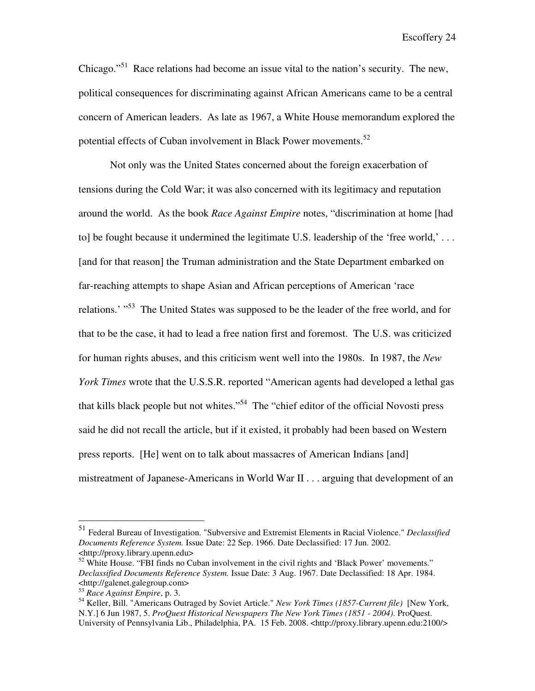Chicago."<sup>51</sup> Race relations had become an issue vital to the nation's security. The new, political consequences for discriminating against African Americans came to be a central concern of American leaders. As late as 1967, a White House memorandum explored the potential effects of Cuban involvement in Black Power movements.<sup>52</sup>

Not only was the United States concerned about the foreign exacerbation of tensions during the Cold War; it was also concerned with its legitimacy and reputation around the world. As the book *Race Against Empire* notes, "discrimination at home [had to] be fought because it undermined the legitimate U.S. leadership of the 'free world,' . . . [and for that reason] the Truman administration and the State Department embarked on far-reaching attempts to shape Asian and African perceptions of American 'race relations.' "<sup>53</sup> The United States was supposed to be the leader of the free world, and for that to be the case, it had to lead a free nation first and foremost. The U.S. was criticized for human rights abuses, and this criticism went well into the 1980s. In 1987, the *New York Times* wrote that the U.S.S.R. reported "American agents had developed a lethal gas that kills black people but not whites."<sup>54</sup> The "chief editor of the official Novosti press said he did not recall the article, but if it existed, it probably had been based on Western press reports. [He] went on to talk about massacres of American Indians [and] mistreatment of Japanese-Americans in World War II . . . arguing that development of an

<sup>51</sup> Federal Bureau of Investigation. "Subversive and Extremist Elements in Racial Violence." *Declassified Documents Reference System.* Issue Date: 22 Sep. 1966. Date Declassified: 17 Jun. 2002. <http://proxy.library.upenn.edu>

 $52$  White House. "FBI finds no Cuban involvement in the civil rights and 'Black Power' movements." *Declassified Documents Reference System.* Issue Date: 3 Aug. 1967. Date Declassified: 18 Apr. 1984. <http://galenet.galegroup.com>

<sup>53</sup> *Race Against Empire*, p. 3.

<sup>54</sup> Keller, Bill. "Americans Outraged by Soviet Article." *New York Times (1857-Current file)* [New York, N.Y.] 6 Jun 1987, 5. *ProQuest Historical Newspapers The New York Times (1851 - 2004)*. ProQuest. University of Pennsylvania Lib., Philadelphia, PA. 15 Feb. 2008. <http://proxy.library.upenn.edu:2100/>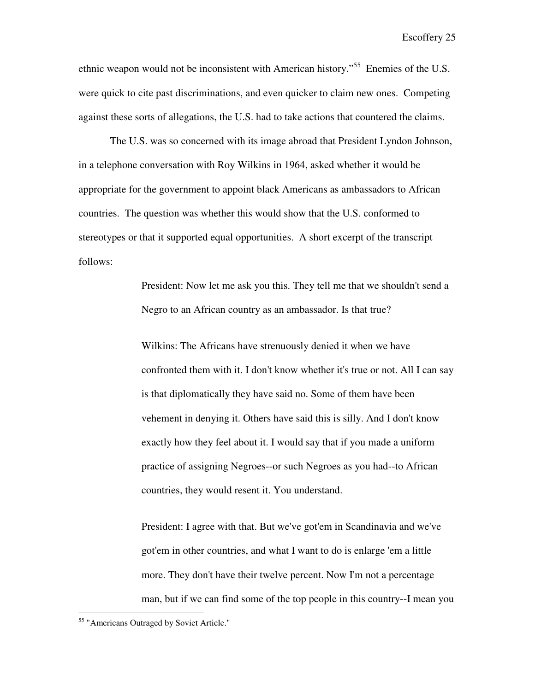ethnic weapon would not be inconsistent with American history."<sup>55</sup> Enemies of the U.S. were quick to cite past discriminations, and even quicker to claim new ones. Competing against these sorts of allegations, the U.S. had to take actions that countered the claims.

 The U.S. was so concerned with its image abroad that President Lyndon Johnson, in a telephone conversation with Roy Wilkins in 1964, asked whether it would be appropriate for the government to appoint black Americans as ambassadors to African countries. The question was whether this would show that the U.S. conformed to stereotypes or that it supported equal opportunities. A short excerpt of the transcript follows:

> President: Now let me ask you this. They tell me that we shouldn't send a Negro to an African country as an ambassador. Is that true?

Wilkins: The Africans have strenuously denied it when we have confronted them with it. I don't know whether it's true or not. All I can say is that diplomatically they have said no. Some of them have been vehement in denying it. Others have said this is silly. And I don't know exactly how they feel about it. I would say that if you made a uniform practice of assigning Negroes--or such Negroes as you had--to African countries, they would resent it. You understand.

President: I agree with that. But we've got'em in Scandinavia and we've got'em in other countries, and what I want to do is enlarge 'em a little more. They don't have their twelve percent. Now I'm not a percentage man, but if we can find some of the top people in this country--I mean you

<sup>55</sup> "Americans Outraged by Soviet Article."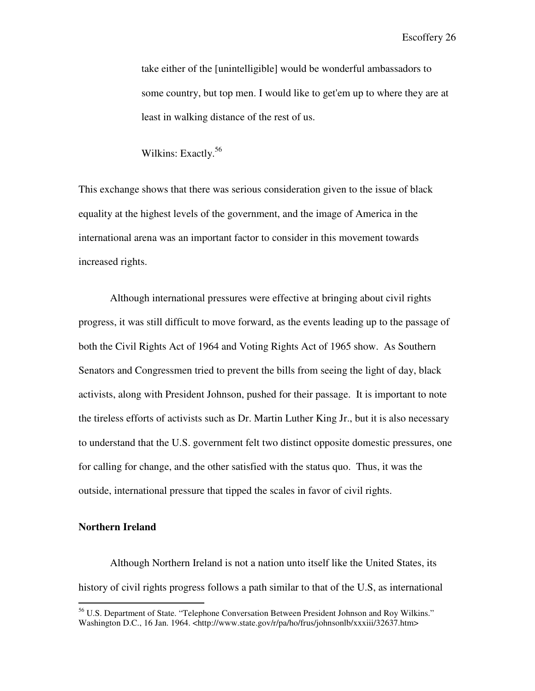take either of the [unintelligible] would be wonderful ambassadors to some country, but top men. I would like to get'em up to where they are at least in walking distance of the rest of us.

Wilkins: Exactly.<sup>56</sup>

This exchange shows that there was serious consideration given to the issue of black equality at the highest levels of the government, and the image of America in the international arena was an important factor to consider in this movement towards increased rights.

Although international pressures were effective at bringing about civil rights progress, it was still difficult to move forward, as the events leading up to the passage of both the Civil Rights Act of 1964 and Voting Rights Act of 1965 show. As Southern Senators and Congressmen tried to prevent the bills from seeing the light of day, black activists, along with President Johnson, pushed for their passage. It is important to note the tireless efforts of activists such as Dr. Martin Luther King Jr., but it is also necessary to understand that the U.S. government felt two distinct opposite domestic pressures, one for calling for change, and the other satisfied with the status quo. Thus, it was the outside, international pressure that tipped the scales in favor of civil rights.

#### **Northern Ireland**

 $\overline{a}$ 

 Although Northern Ireland is not a nation unto itself like the United States, its history of civil rights progress follows a path similar to that of the U.S, as international

<sup>&</sup>lt;sup>56</sup> U.S. Department of State. "Telephone Conversation Between President Johnson and Roy Wilkins." Washington D.C., 16 Jan. 1964. <http://www.state.gov/r/pa/ho/frus/johnsonlb/xxxiii/32637.htm>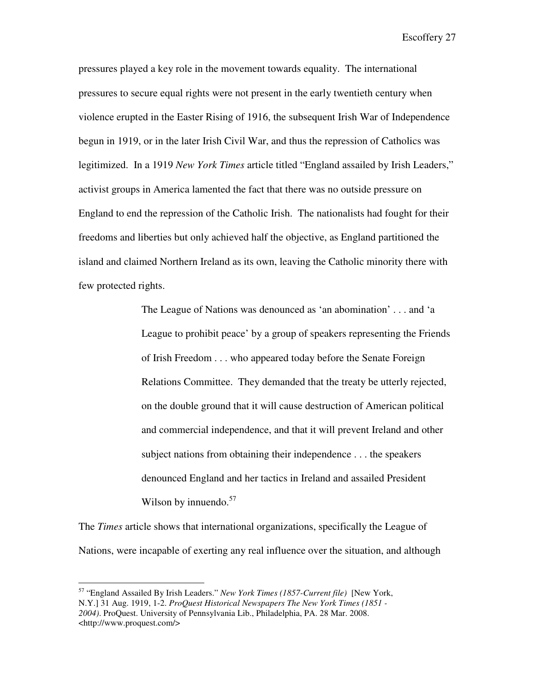pressures played a key role in the movement towards equality. The international pressures to secure equal rights were not present in the early twentieth century when violence erupted in the Easter Rising of 1916, the subsequent Irish War of Independence begun in 1919, or in the later Irish Civil War, and thus the repression of Catholics was legitimized. In a 1919 *New York Times* article titled "England assailed by Irish Leaders," activist groups in America lamented the fact that there was no outside pressure on England to end the repression of the Catholic Irish. The nationalists had fought for their freedoms and liberties but only achieved half the objective, as England partitioned the island and claimed Northern Ireland as its own, leaving the Catholic minority there with few protected rights.

> The League of Nations was denounced as 'an abomination' . . . and 'a League to prohibit peace' by a group of speakers representing the Friends of Irish Freedom . . . who appeared today before the Senate Foreign Relations Committee. They demanded that the treaty be utterly rejected, on the double ground that it will cause destruction of American political and commercial independence, and that it will prevent Ireland and other subject nations from obtaining their independence . . . the speakers denounced England and her tactics in Ireland and assailed President Wilson by innuendo. $57$

The *Times* article shows that international organizations, specifically the League of Nations, were incapable of exerting any real influence over the situation, and although

<sup>57</sup> "England Assailed By Irish Leaders." *New York Times (1857-Current file)* [New York, N.Y.] 31 Aug. 1919, 1-2. *ProQuest Historical Newspapers The New York Times (1851 - 2004)*. ProQuest. University of Pennsylvania Lib., Philadelphia, PA. 28 Mar. 2008. <http://www.proquest.com/>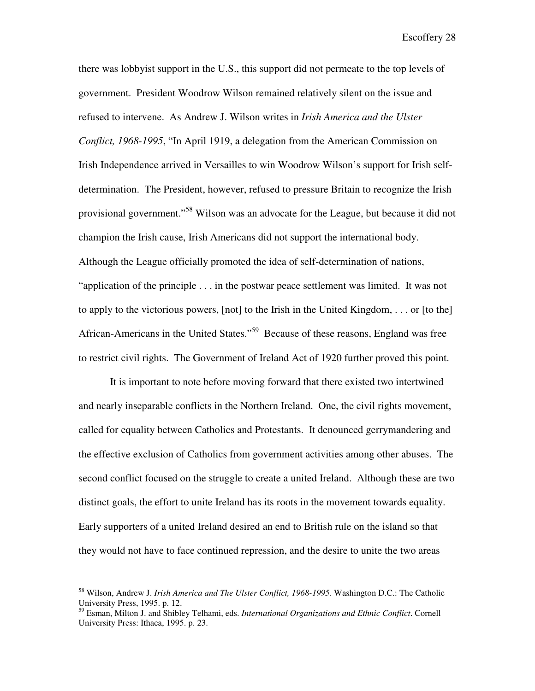there was lobbyist support in the U.S., this support did not permeate to the top levels of government. President Woodrow Wilson remained relatively silent on the issue and refused to intervene. As Andrew J. Wilson writes in *Irish America and the Ulster Conflict, 1968-1995*, "In April 1919, a delegation from the American Commission on Irish Independence arrived in Versailles to win Woodrow Wilson's support for Irish selfdetermination. The President, however, refused to pressure Britain to recognize the Irish provisional government."<sup>58</sup> Wilson was an advocate for the League, but because it did not champion the Irish cause, Irish Americans did not support the international body. Although the League officially promoted the idea of self-determination of nations, "application of the principle . . . in the postwar peace settlement was limited. It was not to apply to the victorious powers, [not] to the Irish in the United Kingdom, . . . or [to the] African-Americans in the United States."<sup>59</sup> Because of these reasons, England was free to restrict civil rights. The Government of Ireland Act of 1920 further proved this point.

 It is important to note before moving forward that there existed two intertwined and nearly inseparable conflicts in the Northern Ireland. One, the civil rights movement, called for equality between Catholics and Protestants. It denounced gerrymandering and the effective exclusion of Catholics from government activities among other abuses. The second conflict focused on the struggle to create a united Ireland. Although these are two distinct goals, the effort to unite Ireland has its roots in the movement towards equality. Early supporters of a united Ireland desired an end to British rule on the island so that they would not have to face continued repression, and the desire to unite the two areas

<sup>58</sup> Wilson, Andrew J. *Irish America and The Ulster Conflict, 1968-1995*. Washington D.C.: The Catholic University Press, 1995. p. 12.

<sup>59</sup> Esman, Milton J. and Shibley Telhami, eds. *International Organizations and Ethnic Conflict*. Cornell University Press: Ithaca, 1995. p. 23.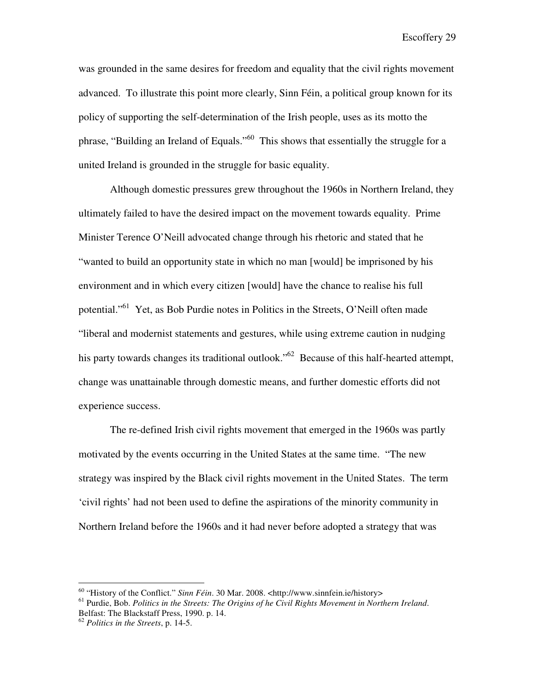was grounded in the same desires for freedom and equality that the civil rights movement advanced. To illustrate this point more clearly, Sinn Féin, a political group known for its policy of supporting the self-determination of the Irish people, uses as its motto the phrase, "Building an Ireland of Equals."<sup>60</sup> This shows that essentially the struggle for a united Ireland is grounded in the struggle for basic equality.

 Although domestic pressures grew throughout the 1960s in Northern Ireland, they ultimately failed to have the desired impact on the movement towards equality. Prime Minister Terence O'Neill advocated change through his rhetoric and stated that he "wanted to build an opportunity state in which no man [would] be imprisoned by his environment and in which every citizen [would] have the chance to realise his full potential."<sup>61</sup> Yet, as Bob Purdie notes in Politics in the Streets, O'Neill often made "liberal and modernist statements and gestures, while using extreme caution in nudging his party towards changes its traditional outlook."<sup>62</sup> Because of this half-hearted attempt, change was unattainable through domestic means, and further domestic efforts did not experience success.

 The re-defined Irish civil rights movement that emerged in the 1960s was partly motivated by the events occurring in the United States at the same time. "The new strategy was inspired by the Black civil rights movement in the United States. The term 'civil rights' had not been used to define the aspirations of the minority community in Northern Ireland before the 1960s and it had never before adopted a strategy that was

<sup>60</sup> "History of the Conflict." *Sinn Féin*. 30 Mar. 2008. <http://www.sinnfein.ie/history>

<sup>61</sup> Purdie, Bob. *Politics in the Streets: The Origins of he Civil Rights Movement in Northern Ireland*. Belfast: The Blackstaff Press, 1990. p. 14.

<sup>62</sup> *Politics in the Streets*, p. 14-5.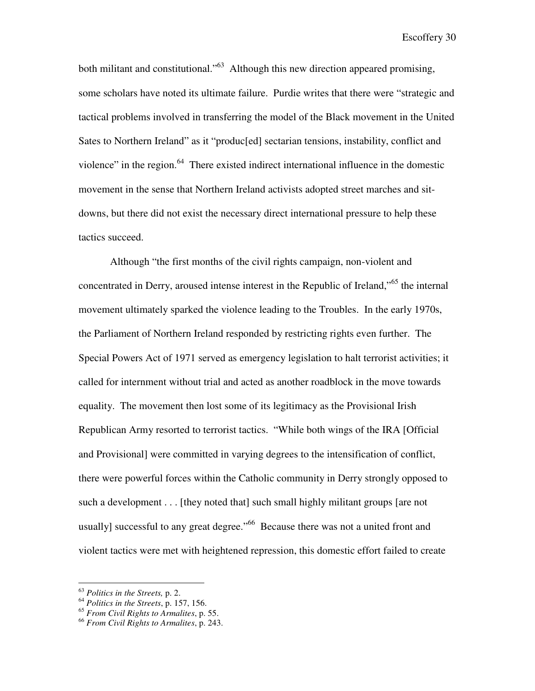both militant and constitutional."<sup>63</sup> Although this new direction appeared promising. some scholars have noted its ultimate failure. Purdie writes that there were "strategic and tactical problems involved in transferring the model of the Black movement in the United Sates to Northern Ireland" as it "produc[ed] sectarian tensions, instability, conflict and violence" in the region.<sup>64</sup> There existed indirect international influence in the domestic movement in the sense that Northern Ireland activists adopted street marches and sitdowns, but there did not exist the necessary direct international pressure to help these tactics succeed.

 Although "the first months of the civil rights campaign, non-violent and concentrated in Derry, aroused intense interest in the Republic of Ireland,"<sup>65</sup> the internal movement ultimately sparked the violence leading to the Troubles. In the early 1970s, the Parliament of Northern Ireland responded by restricting rights even further. The Special Powers Act of 1971 served as emergency legislation to halt terrorist activities; it called for internment without trial and acted as another roadblock in the move towards equality. The movement then lost some of its legitimacy as the Provisional Irish Republican Army resorted to terrorist tactics. "While both wings of the IRA [Official and Provisional] were committed in varying degrees to the intensification of conflict, there were powerful forces within the Catholic community in Derry strongly opposed to such a development . . . [they noted that] such small highly militant groups [are not usually] successful to any great degree."<sup>66</sup> Because there was not a united front and violent tactics were met with heightened repression, this domestic effort failed to create

<sup>63</sup> *Politics in the Streets,* p. 2.

<sup>64</sup> *Politics in the Streets*, p. 157, 156.

<sup>65</sup> *From Civil Rights to Armalites*, p. 55.

<sup>66</sup> *From Civil Rights to Armalites*, p. 243.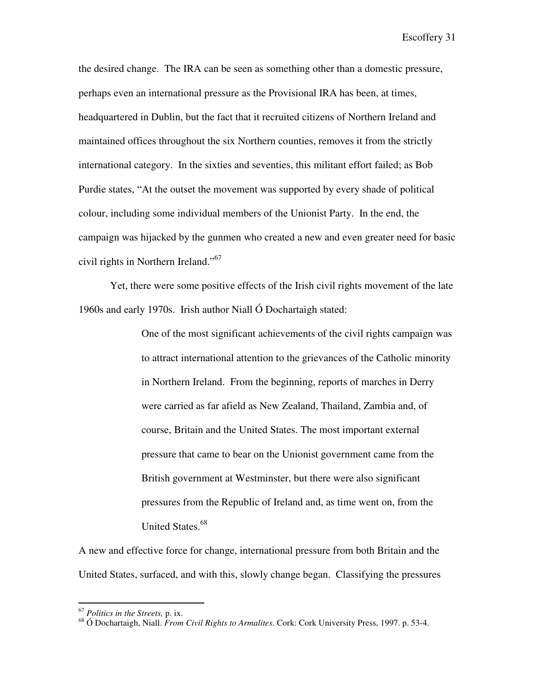the desired change. The IRA can be seen as something other than a domestic pressure, perhaps even an international pressure as the Provisional IRA has been, at times, headquartered in Dublin, but the fact that it recruited citizens of Northern Ireland and maintained offices throughout the six Northern counties, removes it from the strictly international category. In the sixties and seventies, this militant effort failed; as Bob Purdie states, "At the outset the movement was supported by every shade of political colour, including some individual members of the Unionist Party. In the end, the campaign was hijacked by the gunmen who created a new and even greater need for basic civil rights in Northern Ireland."<sup>67</sup>

 Yet, there were some positive effects of the Irish civil rights movement of the late 1960s and early 1970s. Irish author Niall Ó Dochartaigh stated:

> One of the most significant achievements of the civil rights campaign was to attract international attention to the grievances of the Catholic minority in Northern Ireland. From the beginning, reports of marches in Derry were carried as far afield as New Zealand, Thailand, Zambia and, of course, Britain and the United States. The most important external pressure that came to bear on the Unionist government came from the British government at Westminster, but there were also significant pressures from the Republic of Ireland and, as time went on, from the United States.<sup>68</sup>

A new and effective force for change, international pressure from both Britain and the United States, surfaced, and with this, slowly change began. Classifying the pressures

<sup>67</sup> *Politics in the Streets,* p. ix.

<sup>68</sup> Ó Dochartaigh, Niall. *From Civil Rights to Armalites*. Cork: Cork University Press, 1997. p. 53-4.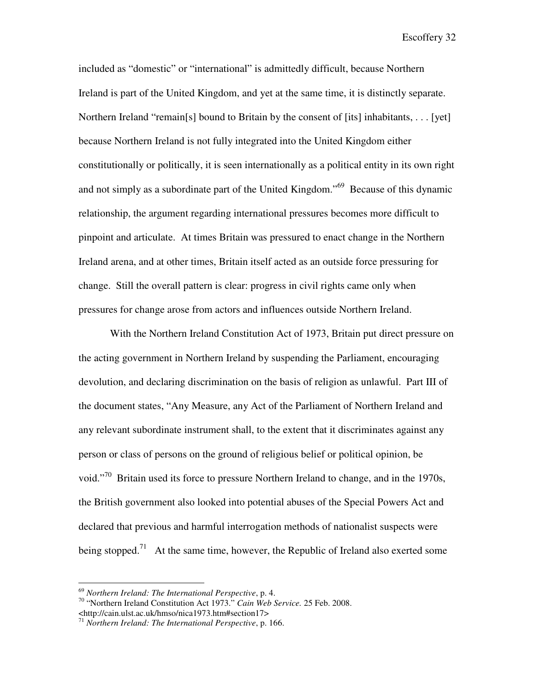included as "domestic" or "international" is admittedly difficult, because Northern Ireland is part of the United Kingdom, and yet at the same time, it is distinctly separate. Northern Ireland "remain[s] bound to Britain by the consent of [its] inhabitants,  $\dots$  [yet] because Northern Ireland is not fully integrated into the United Kingdom either constitutionally or politically, it is seen internationally as a political entity in its own right and not simply as a subordinate part of the United Kingdom."<sup>69</sup> Because of this dynamic relationship, the argument regarding international pressures becomes more difficult to pinpoint and articulate. At times Britain was pressured to enact change in the Northern Ireland arena, and at other times, Britain itself acted as an outside force pressuring for change. Still the overall pattern is clear: progress in civil rights came only when pressures for change arose from actors and influences outside Northern Ireland.

 With the Northern Ireland Constitution Act of 1973, Britain put direct pressure on the acting government in Northern Ireland by suspending the Parliament, encouraging devolution, and declaring discrimination on the basis of religion as unlawful. Part III of the document states, "Any Measure, any Act of the Parliament of Northern Ireland and any relevant subordinate instrument shall, to the extent that it discriminates against any person or class of persons on the ground of religious belief or political opinion, be void."<sup>70</sup> Britain used its force to pressure Northern Ireland to change, and in the 1970s, the British government also looked into potential abuses of the Special Powers Act and declared that previous and harmful interrogation methods of nationalist suspects were being stopped.<sup>71</sup> At the same time, however, the Republic of Ireland also exerted some

<sup>69</sup> *Northern Ireland: The International Perspective*, p. 4.

<sup>70</sup> "Northern Ireland Constitution Act 1973." *Cain Web Service.* 25 Feb. 2008.

<sup>&</sup>lt;http://cain.ulst.ac.uk/hmso/nica1973.htm#section17>

<sup>71</sup> *Northern Ireland: The International Perspective*, p. 166.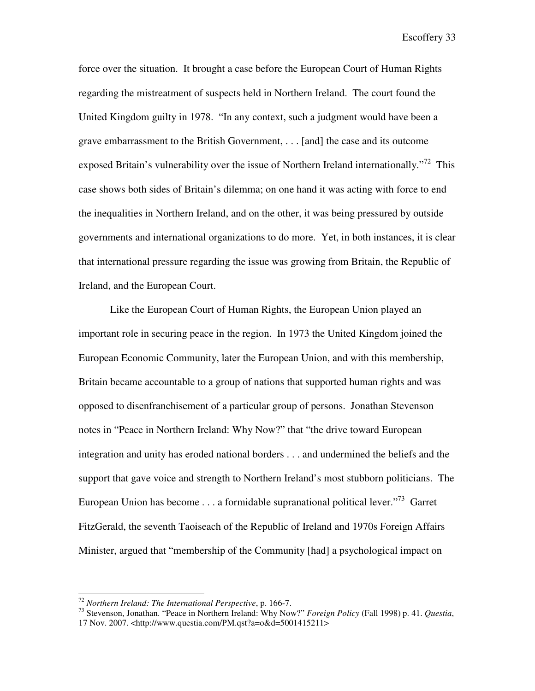force over the situation. It brought a case before the European Court of Human Rights regarding the mistreatment of suspects held in Northern Ireland. The court found the United Kingdom guilty in 1978. "In any context, such a judgment would have been a grave embarrassment to the British Government, . . . [and] the case and its outcome exposed Britain's vulnerability over the issue of Northern Ireland internationally."<sup>72</sup> This case shows both sides of Britain's dilemma; on one hand it was acting with force to end the inequalities in Northern Ireland, and on the other, it was being pressured by outside governments and international organizations to do more. Yet, in both instances, it is clear that international pressure regarding the issue was growing from Britain, the Republic of Ireland, and the European Court.

 Like the European Court of Human Rights, the European Union played an important role in securing peace in the region. In 1973 the United Kingdom joined the European Economic Community, later the European Union, and with this membership, Britain became accountable to a group of nations that supported human rights and was opposed to disenfranchisement of a particular group of persons. Jonathan Stevenson notes in "Peace in Northern Ireland: Why Now?" that "the drive toward European integration and unity has eroded national borders . . . and undermined the beliefs and the support that gave voice and strength to Northern Ireland's most stubborn politicians. The European Union has become  $\dots$  a formidable supranational political lever.<sup> $73$ </sup> Garret FitzGerald, the seventh Taoiseach of the Republic of Ireland and 1970s Foreign Affairs Minister, argued that "membership of the Community [had] a psychological impact on

1

<sup>72</sup> *Northern Ireland: The International Perspective*, p. 166-7.

<sup>73</sup> Stevenson, Jonathan. "Peace in Northern Ireland: Why Now?" *Foreign Policy* (Fall 1998) p. 41. *Questia*, 17 Nov. 2007. <http://www.questia.com/PM.qst?a=o&d=5001415211>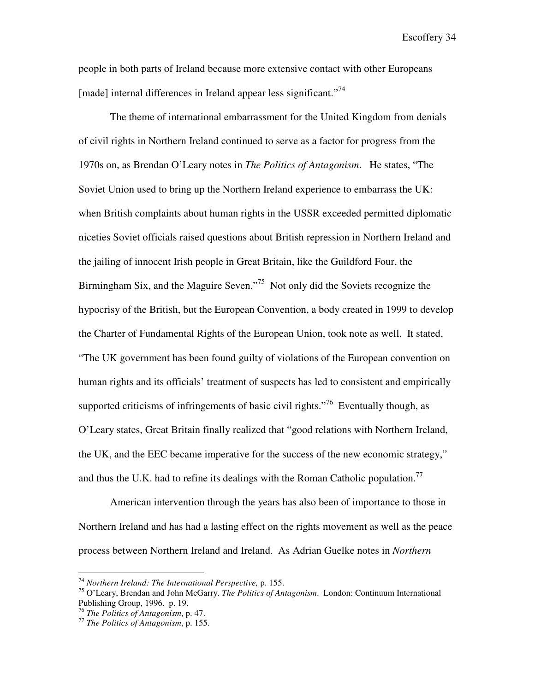people in both parts of Ireland because more extensive contact with other Europeans [made] internal differences in Ireland appear less significant."<sup>74</sup>

 The theme of international embarrassment for the United Kingdom from denials of civil rights in Northern Ireland continued to serve as a factor for progress from the 1970s on, as Brendan O'Leary notes in *The Politics of Antagonism*. He states, "The Soviet Union used to bring up the Northern Ireland experience to embarrass the UK: when British complaints about human rights in the USSR exceeded permitted diplomatic niceties Soviet officials raised questions about British repression in Northern Ireland and the jailing of innocent Irish people in Great Britain, like the Guildford Four, the Birmingham Six, and the Maguire Seven."<sup>75</sup> Not only did the Soviets recognize the hypocrisy of the British, but the European Convention, a body created in 1999 to develop the Charter of Fundamental Rights of the European Union, took note as well. It stated, "The UK government has been found guilty of violations of the European convention on human rights and its officials' treatment of suspects has led to consistent and empirically supported criticisms of infringements of basic civil rights."<sup>76</sup> Eventually though, as O'Leary states, Great Britain finally realized that "good relations with Northern Ireland, the UK, and the EEC became imperative for the success of the new economic strategy," and thus the U.K. had to refine its dealings with the Roman Catholic population.<sup>77</sup>

 American intervention through the years has also been of importance to those in Northern Ireland and has had a lasting effect on the rights movement as well as the peace process between Northern Ireland and Ireland. As Adrian Guelke notes in *Northern* 

<sup>74</sup> *Northern Ireland: The International Perspective,* p. 155.

<sup>75</sup> O'Leary, Brendan and John McGarry. *The Politics of Antagonism*. London: Continuum International Publishing Group, 1996. p. 19.

<sup>76</sup> *The Politics of Antagonism*, p. 47.

<sup>77</sup> *The Politics of Antagonism*, p. 155.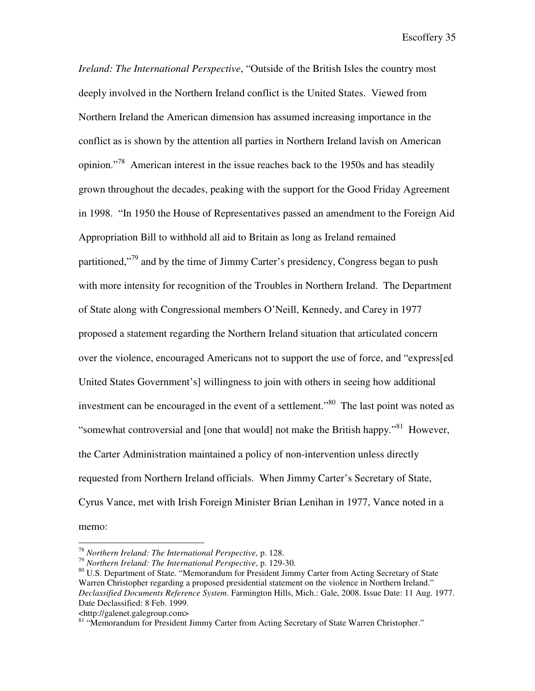*Ireland: The International Perspective*, "Outside of the British Isles the country most deeply involved in the Northern Ireland conflict is the United States. Viewed from Northern Ireland the American dimension has assumed increasing importance in the conflict as is shown by the attention all parties in Northern Ireland lavish on American opinion."<sup>78</sup> American interest in the issue reaches back to the 1950s and has steadily grown throughout the decades, peaking with the support for the Good Friday Agreement in 1998. "In 1950 the House of Representatives passed an amendment to the Foreign Aid Appropriation Bill to withhold all aid to Britain as long as Ireland remained partitioned,"<sup>79</sup> and by the time of Jimmy Carter's presidency, Congress began to push with more intensity for recognition of the Troubles in Northern Ireland. The Department of State along with Congressional members O'Neill, Kennedy, and Carey in 1977 proposed a statement regarding the Northern Ireland situation that articulated concern over the violence, encouraged Americans not to support the use of force, and "express[ed United States Government's] willingness to join with others in seeing how additional investment can be encouraged in the event of a settlement.<sup>80</sup> The last point was noted as "somewhat controversial and [one that would] not make the British happy."<sup>81</sup> However, the Carter Administration maintained a policy of non-intervention unless directly requested from Northern Ireland officials. When Jimmy Carter's Secretary of State, Cyrus Vance, met with Irish Foreign Minister Brian Lenihan in 1977, Vance noted in a memo:

<http://galenet.galegroup.com>

<sup>78</sup> *Northern Ireland: The International Perspective,* p. 128.

<sup>79</sup> *Northern Ireland: The International Perspective*, p. 129-30.

<sup>&</sup>lt;sup>80</sup> U.S. Department of State. "Memorandum for President Jimmy Carter from Acting Secretary of State Warren Christopher regarding a proposed presidential statement on the violence in Northern Ireland." *Declassified Documents Reference System*. Farmington Hills, Mich.: Gale, 2008. Issue Date: 11 Aug. 1977. Date Declassified: 8 Feb. 1999.

<sup>81 &</sup>quot;Memorandum for President Jimmy Carter from Acting Secretary of State Warren Christopher."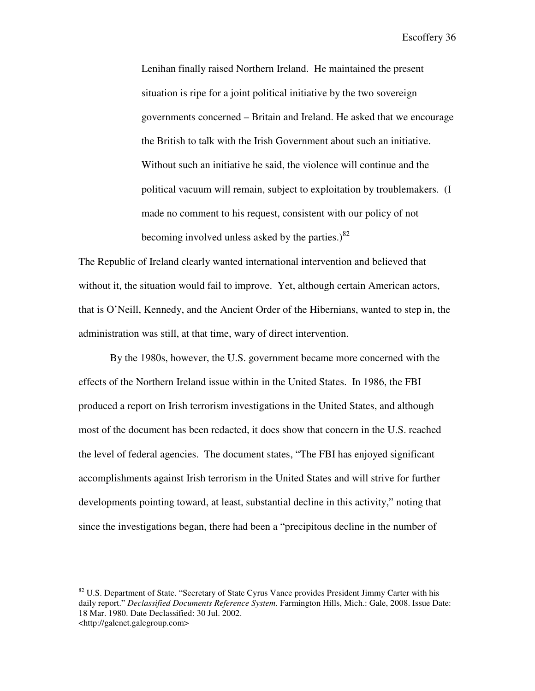Lenihan finally raised Northern Ireland. He maintained the present situation is ripe for a joint political initiative by the two sovereign governments concerned – Britain and Ireland. He asked that we encourage the British to talk with the Irish Government about such an initiative. Without such an initiative he said, the violence will continue and the political vacuum will remain, subject to exploitation by troublemakers. (I made no comment to his request, consistent with our policy of not becoming involved unless asked by the parties.) $82$ 

The Republic of Ireland clearly wanted international intervention and believed that without it, the situation would fail to improve. Yet, although certain American actors, that is O'Neill, Kennedy, and the Ancient Order of the Hibernians, wanted to step in, the administration was still, at that time, wary of direct intervention.

 By the 1980s, however, the U.S. government became more concerned with the effects of the Northern Ireland issue within in the United States. In 1986, the FBI produced a report on Irish terrorism investigations in the United States, and although most of the document has been redacted, it does show that concern in the U.S. reached the level of federal agencies. The document states, "The FBI has enjoyed significant accomplishments against Irish terrorism in the United States and will strive for further developments pointing toward, at least, substantial decline in this activity," noting that since the investigations began, there had been a "precipitous decline in the number of

 $82$  U.S. Department of State. "Secretary of State Cyrus Vance provides President Jimmy Carter with his daily report." *Declassified Documents Reference System*. Farmington Hills, Mich.: Gale, 2008. Issue Date: 18 Mar. 1980. Date Declassified: 30 Jul. 2002. <http://galenet.galegroup.com>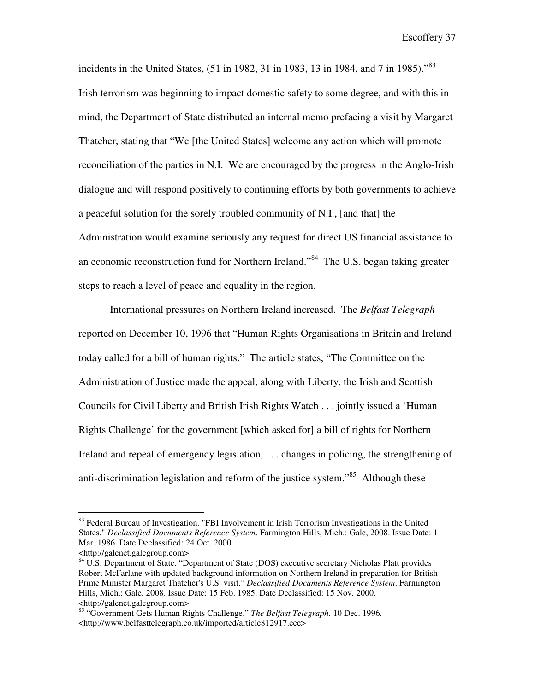incidents in the United States,  $(51 \text{ in } 1982, 31 \text{ in } 1983, 13 \text{ in } 1984, \text{ and } 7 \text{ in } 1985)$ .<sup>83</sup> Irish terrorism was beginning to impact domestic safety to some degree, and with this in mind, the Department of State distributed an internal memo prefacing a visit by Margaret Thatcher, stating that "We [the United States] welcome any action which will promote reconciliation of the parties in N.I. We are encouraged by the progress in the Anglo-Irish dialogue and will respond positively to continuing efforts by both governments to achieve a peaceful solution for the sorely troubled community of N.I., [and that] the Administration would examine seriously any request for direct US financial assistance to an economic reconstruction fund for Northern Ireland."<sup>84</sup> The U.S. began taking greater steps to reach a level of peace and equality in the region.

 International pressures on Northern Ireland increased. The *Belfast Telegraph* reported on December 10, 1996 that "Human Rights Organisations in Britain and Ireland today called for a bill of human rights." The article states, "The Committee on the Administration of Justice made the appeal, along with Liberty, the Irish and Scottish Councils for Civil Liberty and British Irish Rights Watch . . . jointly issued a 'Human Rights Challenge' for the government [which asked for] a bill of rights for Northern Ireland and repeal of emergency legislation, . . . changes in policing, the strengthening of anti-discrimination legislation and reform of the justice system.<sup>85</sup> Although these

<sup>&</sup>lt;sup>83</sup> Federal Bureau of Investigation. "FBI Involvement in Irish Terrorism Investigations in the United States." *Declassified Documents Reference System*. Farmington Hills, Mich.: Gale, 2008. Issue Date: 1 Mar. 1986. Date Declassified: 24 Oct. 2000.

<sup>&</sup>lt;http://galenet.galegroup.com>

<sup>&</sup>lt;sup>84</sup> U.S. Department of State. "Department of State (DOS) executive secretary Nicholas Platt provides Robert McFarlane with updated background information on Northern Ireland in preparation for British Prime Minister Margaret Thatcher's U.S. visit." *Declassified Documents Reference System*. Farmington Hills, Mich.: Gale, 2008. Issue Date: 15 Feb. 1985. Date Declassified: 15 Nov. 2000. <http://galenet.galegroup.com>

<sup>85 &</sup>quot;Government Gets Human Rights Challenge." *The Belfast Telegraph*. 10 Dec. 1996. <http://www.belfasttelegraph.co.uk/imported/article812917.ece>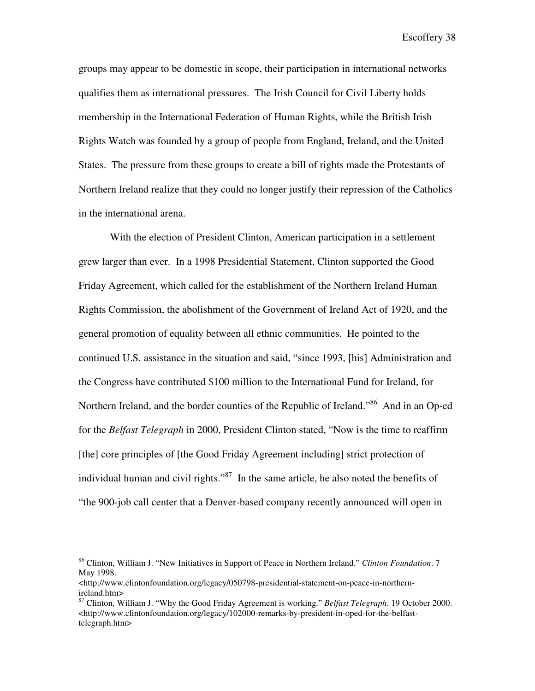groups may appear to be domestic in scope, their participation in international networks qualifies them as international pressures. The Irish Council for Civil Liberty holds membership in the International Federation of Human Rights, while the British Irish Rights Watch was founded by a group of people from England, Ireland, and the United States. The pressure from these groups to create a bill of rights made the Protestants of Northern Ireland realize that they could no longer justify their repression of the Catholics in the international arena.

 With the election of President Clinton, American participation in a settlement grew larger than ever. In a 1998 Presidential Statement, Clinton supported the Good Friday Agreement, which called for the establishment of the Northern Ireland Human Rights Commission, the abolishment of the Government of Ireland Act of 1920, and the general promotion of equality between all ethnic communities. He pointed to the continued U.S. assistance in the situation and said, "since 1993, [his] Administration and the Congress have contributed \$100 million to the International Fund for Ireland, for Northern Ireland, and the border counties of the Republic of Ireland."<sup>86</sup> And in an Op-ed for the *Belfast Telegraph* in 2000, President Clinton stated, "Now is the time to reaffirm [the] core principles of [the Good Friday Agreement including] strict protection of individual human and civil rights."<sup>87</sup> In the same article, he also noted the benefits of "the 900-job call center that a Denver-based company recently announced will open in

<sup>86</sup> Clinton, William J. "New Initiatives in Support of Peace in Northern Ireland." *Clinton Foundation*. 7 May 1998.

 $\lt$ http://www.clintonfoundation.org/legacy/050798-presidential-statement-on-peace-in-northernireland.htm>

<sup>87</sup> Clinton, William J. "Why the Good Friday Agreement is working." *Belfast Telegraph*. 19 October 2000.  $\lt$ http://www.clintonfoundation.org/legacy/102000-remarks-by-president-in-oped-for-the-belfasttelegraph.htm>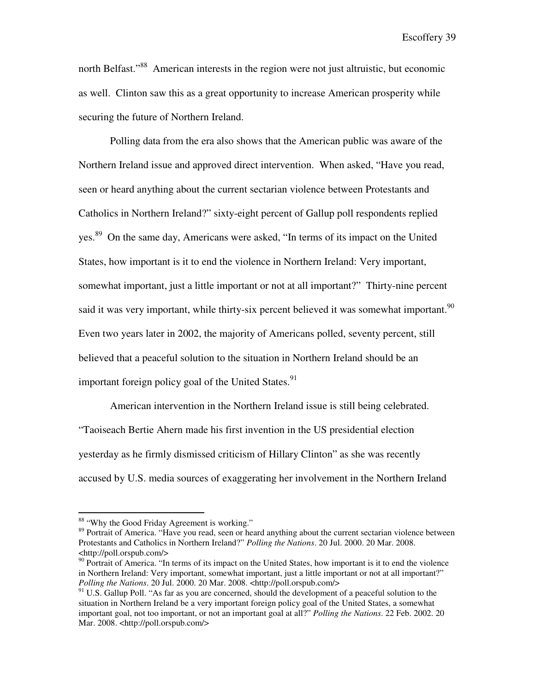north Belfast.<sup>388</sup> American interests in the region were not just altruistic, but economic as well. Clinton saw this as a great opportunity to increase American prosperity while securing the future of Northern Ireland.

Polling data from the era also shows that the American public was aware of the Northern Ireland issue and approved direct intervention. When asked, "Have you read, seen or heard anything about the current sectarian violence between Protestants and Catholics in Northern Ireland?" sixty-eight percent of Gallup poll respondents replied yes.<sup>89</sup> On the same day, Americans were asked, "In terms of its impact on the United States, how important is it to end the violence in Northern Ireland: Very important, somewhat important, just a little important or not at all important?" Thirty-nine percent said it was very important, while thirty-six percent believed it was somewhat important.<sup>90</sup> Even two years later in 2002, the majority of Americans polled, seventy percent, still believed that a peaceful solution to the situation in Northern Ireland should be an important foreign policy goal of the United States. $91$ 

American intervention in the Northern Ireland issue is still being celebrated. "Taoiseach Bertie Ahern made his first invention in the US presidential election yesterday as he firmly dismissed criticism of Hillary Clinton" as she was recently accused by U.S. media sources of exaggerating her involvement in the Northern Ireland

<sup>&</sup>lt;sup>88</sup> "Why the Good Friday Agreement is working."

<sup>&</sup>lt;sup>89</sup> Portrait of America. "Have you read, seen or heard anything about the current sectarian violence between Protestants and Catholics in Northern Ireland?" *Polling the Nations*. 20 Jul. 2000. 20 Mar. 2008. <http://poll.orspub.com/>

 $90$  Portrait of America. "In terms of its impact on the United States, how important is it to end the violence in Northern Ireland: Very important, somewhat important, just a little important or not at all important?" *Polling the Nations*. 20 Jul. 2000. 20 Mar. 2008. <http://poll.orspub.com/>

<sup>&</sup>lt;sup>91</sup> U.S. Gallup Poll. "As far as you are concerned, should the development of a peaceful solution to the situation in Northern Ireland be a very important foreign policy goal of the United States, a somewhat important goal, not too important, or not an important goal at all?" *Polling the Nations*. 22 Feb. 2002. 20 Mar. 2008. <http://poll.orspub.com/>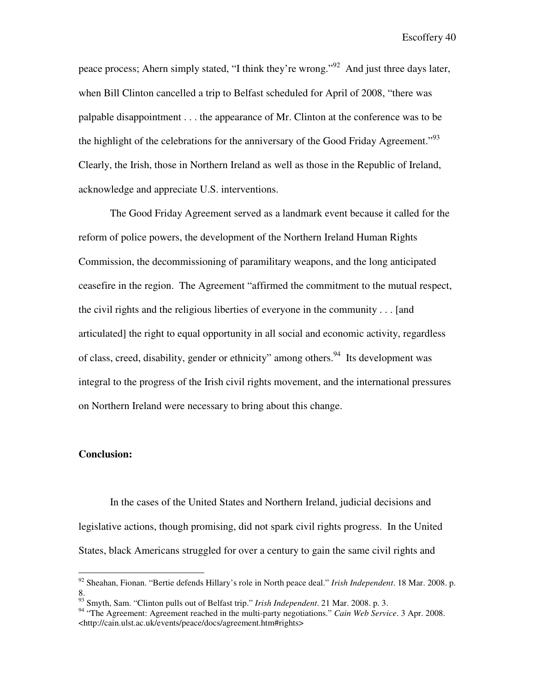peace process; Ahern simply stated, "I think they're wrong."<sup>92</sup> And just three days later, when Bill Clinton cancelled a trip to Belfast scheduled for April of 2008, "there was palpable disappointment . . . the appearance of Mr. Clinton at the conference was to be the highlight of the celebrations for the anniversary of the Good Friday Agreement.<sup> $.93$ </sup> Clearly, the Irish, those in Northern Ireland as well as those in the Republic of Ireland, acknowledge and appreciate U.S. interventions.

 The Good Friday Agreement served as a landmark event because it called for the reform of police powers, the development of the Northern Ireland Human Rights Commission, the decommissioning of paramilitary weapons, and the long anticipated ceasefire in the region. The Agreement "affirmed the commitment to the mutual respect, the civil rights and the religious liberties of everyone in the community . . . [and articulated] the right to equal opportunity in all social and economic activity, regardless of class, creed, disability, gender or ethnicity" among others.<sup>94</sup> Its development was integral to the progress of the Irish civil rights movement, and the international pressures on Northern Ireland were necessary to bring about this change.

### **Conclusion:**

<u>.</u>

 In the cases of the United States and Northern Ireland, judicial decisions and legislative actions, though promising, did not spark civil rights progress. In the United States, black Americans struggled for over a century to gain the same civil rights and

<sup>92</sup> Sheahan, Fionan. "Bertie defends Hillary's role in North peace deal." *Irish Independent*. 18 Mar. 2008. p. 8.

<sup>93</sup> Smyth, Sam. "Clinton pulls out of Belfast trip." *Irish Independent*. 21 Mar. 2008. p. 3.

<sup>&</sup>lt;sup>94</sup> "The Agreement: Agreement reached in the multi-party negotiations." *Cain Web Service*. 3 Apr. 2008. <http://cain.ulst.ac.uk/events/peace/docs/agreement.htm#rights>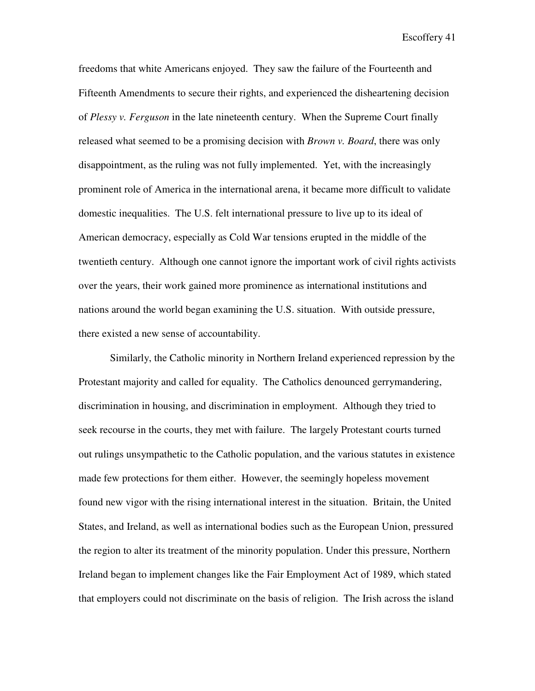freedoms that white Americans enjoyed. They saw the failure of the Fourteenth and Fifteenth Amendments to secure their rights, and experienced the disheartening decision of *Plessy v. Ferguson* in the late nineteenth century. When the Supreme Court finally released what seemed to be a promising decision with *Brown v. Board*, there was only disappointment, as the ruling was not fully implemented. Yet, with the increasingly prominent role of America in the international arena, it became more difficult to validate domestic inequalities. The U.S. felt international pressure to live up to its ideal of American democracy, especially as Cold War tensions erupted in the middle of the twentieth century. Although one cannot ignore the important work of civil rights activists over the years, their work gained more prominence as international institutions and nations around the world began examining the U.S. situation. With outside pressure, there existed a new sense of accountability.

 Similarly, the Catholic minority in Northern Ireland experienced repression by the Protestant majority and called for equality. The Catholics denounced gerrymandering, discrimination in housing, and discrimination in employment. Although they tried to seek recourse in the courts, they met with failure. The largely Protestant courts turned out rulings unsympathetic to the Catholic population, and the various statutes in existence made few protections for them either. However, the seemingly hopeless movement found new vigor with the rising international interest in the situation. Britain, the United States, and Ireland, as well as international bodies such as the European Union, pressured the region to alter its treatment of the minority population. Under this pressure, Northern Ireland began to implement changes like the Fair Employment Act of 1989, which stated that employers could not discriminate on the basis of religion. The Irish across the island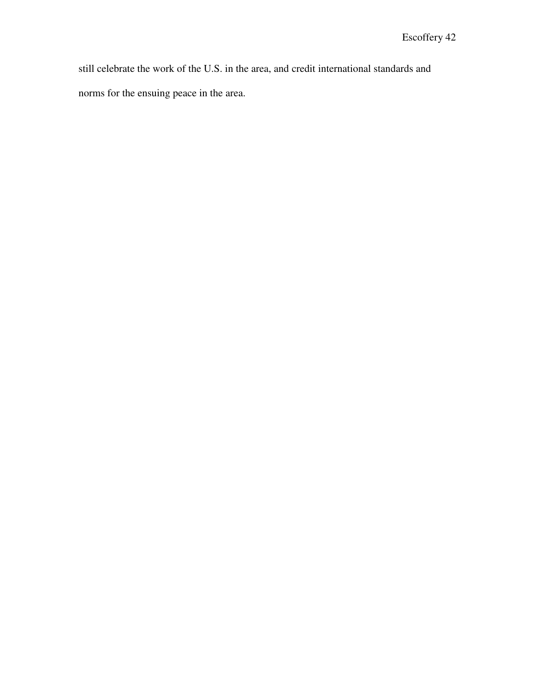still celebrate the work of the U.S. in the area, and credit international standards and norms for the ensuing peace in the area.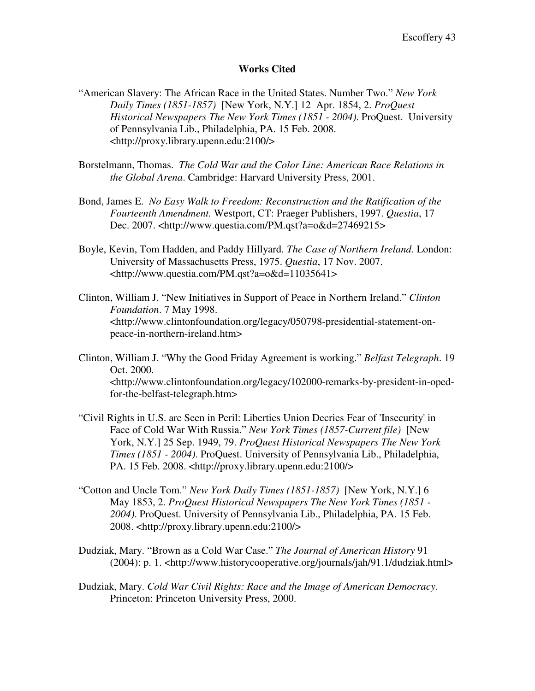### **Works Cited**

- "American Slavery: The African Race in the United States. Number Two." *New York Daily Times (1851-1857)* [New York, N.Y.] 12 Apr. 1854, 2. *ProQuest Historical Newspapers The New York Times (1851 - 2004)*. ProQuest. University of Pennsylvania Lib., Philadelphia, PA. 15 Feb. 2008. <http://proxy.library.upenn.edu:2100/>
- Borstelmann, Thomas. *The Cold War and the Color Line: American Race Relations in the Global Arena*. Cambridge: Harvard University Press, 2001.
- Bond, James E. *No Easy Walk to Freedom: Reconstruction and the Ratification of the Fourteenth Amendment.* Westport, CT: Praeger Publishers, 1997. *Questia*, 17 Dec. 2007. <http://www.questia.com/PM.qst?a=o&d=27469215>
- Boyle, Kevin, Tom Hadden, and Paddy Hillyard. *The Case of Northern Ireland.* London: University of Massachusetts Press, 1975. *Questia*, 17 Nov. 2007. <http://www.questia.com/PM.qst?a=o&d=11035641>
- Clinton, William J. "New Initiatives in Support of Peace in Northern Ireland." *Clinton Foundation*. 7 May 1998. <http://www.clintonfoundation.org/legacy/050798-presidential-statement-onpeace-in-northern-ireland.htm>
- Clinton, William J. "Why the Good Friday Agreement is working." *Belfast Telegraph*. 19 Oct. 2000. <http://www.clintonfoundation.org/legacy/102000-remarks-by-president-in-opedfor-the-belfast-telegraph.htm>
- "Civil Rights in U.S. are Seen in Peril: Liberties Union Decries Fear of 'Insecurity' in Face of Cold War With Russia." *New York Times (1857-Current file)* [New York, N.Y.] 25 Sep. 1949, 79. *ProQuest Historical Newspapers The New York Times (1851 - 2004)*. ProQuest. University of Pennsylvania Lib., Philadelphia, PA. 15 Feb. 2008. <http://proxy.library.upenn.edu:2100/>
- "Cotton and Uncle Tom." *New York Daily Times (1851-1857)* [New York, N.Y.] 6 May 1853, 2. *ProQuest Historical Newspapers The New York Times (1851 - 2004)*. ProQuest. University of Pennsylvania Lib., Philadelphia, PA. 15 Feb. 2008. <http://proxy.library.upenn.edu:2100/>
- Dudziak, Mary. "Brown as a Cold War Case." *The Journal of American History* 91 (2004): p. 1. <http://www.historycooperative.org/journals/jah/91.1/dudziak.html>
- Dudziak, Mary. *Cold War Civil Rights: Race and the Image of American Democracy*. Princeton: Princeton University Press, 2000.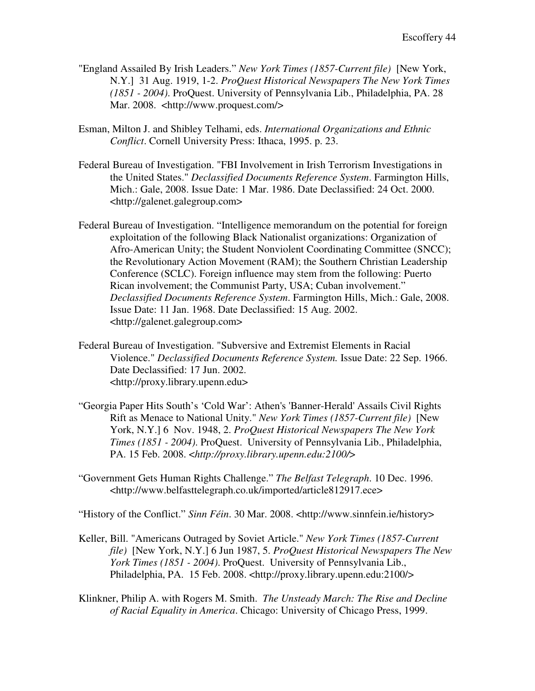- "England Assailed By Irish Leaders." *New York Times (1857-Current file)* [New York, N.Y.] 31 Aug. 1919, 1-2. *ProQuest Historical Newspapers The New York Times (1851 - 2004)*. ProQuest. University of Pennsylvania Lib., Philadelphia, PA. 28 Mar. 2008. <http://www.proquest.com/>
- Esman, Milton J. and Shibley Telhami, eds. *International Organizations and Ethnic Conflict*. Cornell University Press: Ithaca, 1995. p. 23.
- Federal Bureau of Investigation. "FBI Involvement in Irish Terrorism Investigations in the United States." *Declassified Documents Reference System*. Farmington Hills, Mich.: Gale, 2008. Issue Date: 1 Mar. 1986. Date Declassified: 24 Oct. 2000. <http://galenet.galegroup.com>
- Federal Bureau of Investigation. "Intelligence memorandum on the potential for foreign exploitation of the following Black Nationalist organizations: Organization of Afro-American Unity; the Student Nonviolent Coordinating Committee (SNCC); the Revolutionary Action Movement (RAM); the Southern Christian Leadership Conference (SCLC). Foreign influence may stem from the following: Puerto Rican involvement; the Communist Party, USA; Cuban involvement." *Declassified Documents Reference System*. Farmington Hills, Mich.: Gale, 2008. Issue Date: 11 Jan. 1968. Date Declassified: 15 Aug. 2002. <http://galenet.galegroup.com>
- Federal Bureau of Investigation. "Subversive and Extremist Elements in Racial Violence." *Declassified Documents Reference System.* Issue Date: 22 Sep. 1966. Date Declassified: 17 Jun. 2002. <http://proxy.library.upenn.edu>
- "Georgia Paper Hits South's 'Cold War': Athen's 'Banner-Herald' Assails Civil Rights Rift as Menace to National Unity." *New York Times (1857-Current file)* [New York, N.Y.] 6 Nov. 1948, 2. *ProQuest Historical Newspapers The New York Times (1851 - 2004)*. ProQuest. University of Pennsylvania Lib., Philadelphia, PA. 15 Feb. 2008. <*http://proxy.library.upenn.edu:2100/*>
- "Government Gets Human Rights Challenge." *The Belfast Telegraph*. 10 Dec. 1996. <http://www.belfasttelegraph.co.uk/imported/article812917.ece>

"History of the Conflict." *Sinn Féin*. 30 Mar. 2008. <http://www.sinnfein.ie/history>

- Keller, Bill. "Americans Outraged by Soviet Article." *New York Times (1857-Current file)* [New York, N.Y.] 6 Jun 1987, 5. *ProQuest Historical Newspapers The New York Times (1851 - 2004)*. ProQuest. University of Pennsylvania Lib., Philadelphia, PA. 15 Feb. 2008. <http://proxy.library.upenn.edu:2100/>
- Klinkner, Philip A. with Rogers M. Smith. *The Unsteady March: The Rise and Decline of Racial Equality in America*. Chicago: University of Chicago Press, 1999.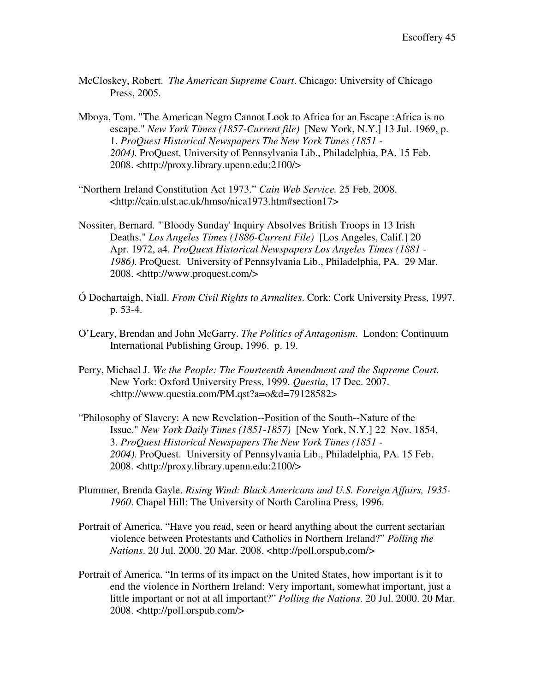- McCloskey, Robert. *The American Supreme Court*. Chicago: University of Chicago Press, 2005.
- Mboya, Tom. "The American Negro Cannot Look to Africa for an Escape :Africa is no escape." *New York Times (1857-Current file)* [New York, N.Y.] 13 Jul. 1969, p. 1. *ProQuest Historical Newspapers The New York Times (1851 - 2004)*. ProQuest. University of Pennsylvania Lib., Philadelphia, PA. 15 Feb. 2008. <http://proxy.library.upenn.edu:2100/>
- "Northern Ireland Constitution Act 1973." *Cain Web Service.* 25 Feb. 2008. <http://cain.ulst.ac.uk/hmso/nica1973.htm#section17>
- Nossiter, Bernard. "'Bloody Sunday' Inquiry Absolves British Troops in 13 Irish Deaths." *Los Angeles Times (1886-Current File)* [Los Angeles, Calif.] 20 Apr. 1972, a4. *ProQuest Historical Newspapers Los Angeles Times (1881 - 1986)*. ProQuest. University of Pennsylvania Lib., Philadelphia, PA. 29 Mar. 2008. <http://www.proquest.com/>
- Ó Dochartaigh, Niall. *From Civil Rights to Armalites*. Cork: Cork University Press, 1997. p. 53-4.
- O'Leary, Brendan and John McGarry. *The Politics of Antagonism*. London: Continuum International Publishing Group, 1996. p. 19.
- Perry, Michael J. *We the People: The Fourteenth Amendment and the Supreme Court.* New York: Oxford University Press, 1999. *Questia*, 17 Dec. 2007. <http://www.questia.com/PM.qst?a=o&d=79128582>
- "Philosophy of Slavery: A new Revelation--Position of the South--Nature of the Issue." *New York Daily Times (1851-1857)* [New York, N.Y.] 22 Nov. 1854, 3. *ProQuest Historical Newspapers The New York Times (1851 - 2004)*. ProQuest. University of Pennsylvania Lib., Philadelphia, PA. 15 Feb. 2008. <http://proxy.library.upenn.edu:2100/>
- Plummer, Brenda Gayle. *Rising Wind: Black Americans and U.S. Foreign Affairs, 1935- 1960*. Chapel Hill: The University of North Carolina Press, 1996.
- Portrait of America. "Have you read, seen or heard anything about the current sectarian violence between Protestants and Catholics in Northern Ireland?" *Polling the Nations*. 20 Jul. 2000. 20 Mar. 2008. <http://poll.orspub.com/>
- Portrait of America. "In terms of its impact on the United States, how important is it to end the violence in Northern Ireland: Very important, somewhat important, just a little important or not at all important?" *Polling the Nations*. 20 Jul. 2000. 20 Mar. 2008. <http://poll.orspub.com/>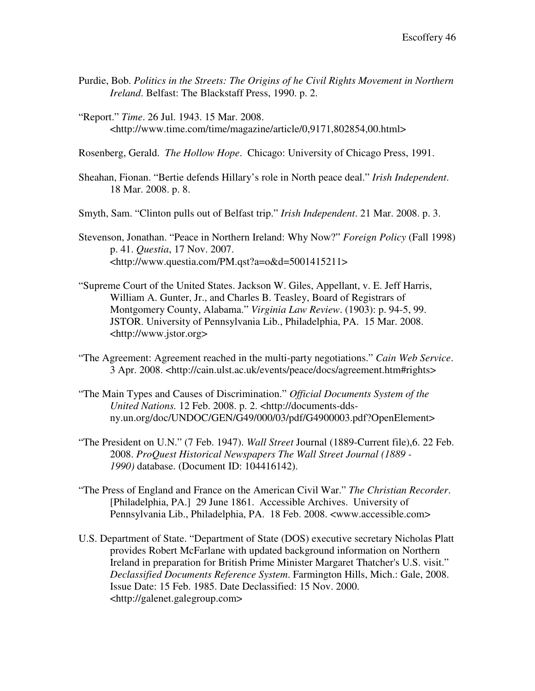- Purdie, Bob. *Politics in the Streets: The Origins of he Civil Rights Movement in Northern Ireland*. Belfast: The Blackstaff Press, 1990. p. 2.
- "Report." *Time*. 26 Jul. 1943. 15 Mar. 2008. <http://www.time.com/time/magazine/article/0,9171,802854,00.html>

Rosenberg, Gerald. *The Hollow Hope*. Chicago: University of Chicago Press, 1991.

- Sheahan, Fionan. "Bertie defends Hillary's role in North peace deal." *Irish Independent*. 18 Mar. 2008. p. 8.
- Smyth, Sam. "Clinton pulls out of Belfast trip." *Irish Independent*. 21 Mar. 2008. p. 3.
- Stevenson, Jonathan. "Peace in Northern Ireland: Why Now?" *Foreign Policy* (Fall 1998) p. 41. *Questia*, 17 Nov. 2007. <http://www.questia.com/PM.qst?a=o&d=5001415211>
- "Supreme Court of the United States. Jackson W. Giles, Appellant, v. E. Jeff Harris, William A. Gunter, Jr., and Charles B. Teasley, Board of Registrars of Montgomery County, Alabama." *Virginia Law Review*. (1903): p. 94-5, 99. JSTOR. University of Pennsylvania Lib., Philadelphia, PA. 15 Mar. 2008. <http://www.jstor.org>
- "The Agreement: Agreement reached in the multi-party negotiations." *Cain Web Service*. 3 Apr. 2008. <http://cain.ulst.ac.uk/events/peace/docs/agreement.htm#rights>
- "The Main Types and Causes of Discrimination." *Official Documents System of the United Nations.* 12 Feb. 2008. p. 2. <http://documents-ddsny.un.org/doc/UNDOC/GEN/G49/000/03/pdf/G4900003.pdf?OpenElement>
- "The President on U.N." (7 Feb. 1947). *Wall Street* Journal (1889-Current file),6. 22 Feb. 2008. *ProQuest Historical Newspapers The Wall Street Journal (1889 - 1990)* database. (Document ID: 104416142).
- "The Press of England and France on the American Civil War." *The Christian Recorder*. [Philadelphia, PA.] 29 June 1861. Accessible Archives. University of Pennsylvania Lib., Philadelphia, PA. 18 Feb. 2008. <www.accessible.com>
- U.S. Department of State. "Department of State (DOS) executive secretary Nicholas Platt provides Robert McFarlane with updated background information on Northern Ireland in preparation for British Prime Minister Margaret Thatcher's U.S. visit." *Declassified Documents Reference System*. Farmington Hills, Mich.: Gale, 2008. Issue Date: 15 Feb. 1985. Date Declassified: 15 Nov. 2000. <http://galenet.galegroup.com>